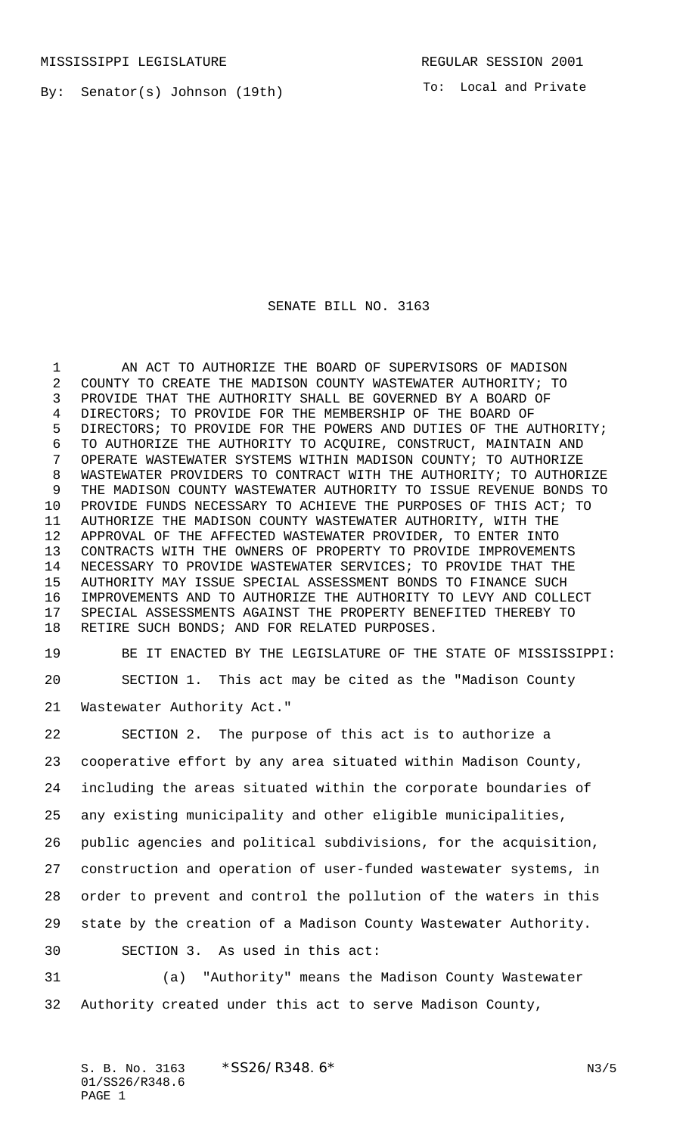By: Senator(s) Johnson (19th)

To: Local and Private

## SENATE BILL NO. 3163

1 AN ACT TO AUTHORIZE THE BOARD OF SUPERVISORS OF MADISON COUNTY TO CREATE THE MADISON COUNTY WASTEWATER AUTHORITY; TO PROVIDE THAT THE AUTHORITY SHALL BE GOVERNED BY A BOARD OF DIRECTORS; TO PROVIDE FOR THE MEMBERSHIP OF THE BOARD OF DIRECTORS; TO PROVIDE FOR THE POWERS AND DUTIES OF THE AUTHORITY; TO AUTHORIZE THE AUTHORITY TO ACQUIRE, CONSTRUCT, MAINTAIN AND OPERATE WASTEWATER SYSTEMS WITHIN MADISON COUNTY; TO AUTHORIZE WASTEWATER PROVIDERS TO CONTRACT WITH THE AUTHORITY; TO AUTHORIZE THE MADISON COUNTY WASTEWATER AUTHORITY TO ISSUE REVENUE BONDS TO PROVIDE FUNDS NECESSARY TO ACHIEVE THE PURPOSES OF THIS ACT; TO AUTHORIZE THE MADISON COUNTY WASTEWATER AUTHORITY, WITH THE APPROVAL OF THE AFFECTED WASTEWATER PROVIDER, TO ENTER INTO CONTRACTS WITH THE OWNERS OF PROPERTY TO PROVIDE IMPROVEMENTS NECESSARY TO PROVIDE WASTEWATER SERVICES; TO PROVIDE THAT THE AUTHORITY MAY ISSUE SPECIAL ASSESSMENT BONDS TO FINANCE SUCH IMPROVEMENTS AND TO AUTHORIZE THE AUTHORITY TO LEVY AND COLLECT SPECIAL ASSESSMENTS AGAINST THE PROPERTY BENEFITED THEREBY TO RETIRE SUCH BONDS; AND FOR RELATED PURPOSES.

 BE IT ENACTED BY THE LEGISLATURE OF THE STATE OF MISSISSIPPI: SECTION 1. This act may be cited as the "Madison County

Wastewater Authority Act."

 SECTION 2. The purpose of this act is to authorize a cooperative effort by any area situated within Madison County, including the areas situated within the corporate boundaries of any existing municipality and other eligible municipalities, public agencies and political subdivisions, for the acquisition, construction and operation of user-funded wastewater systems, in order to prevent and control the pollution of the waters in this state by the creation of a Madison County Wastewater Authority. SECTION 3. As used in this act:

 (a) "Authority" means the Madison County Wastewater Authority created under this act to serve Madison County,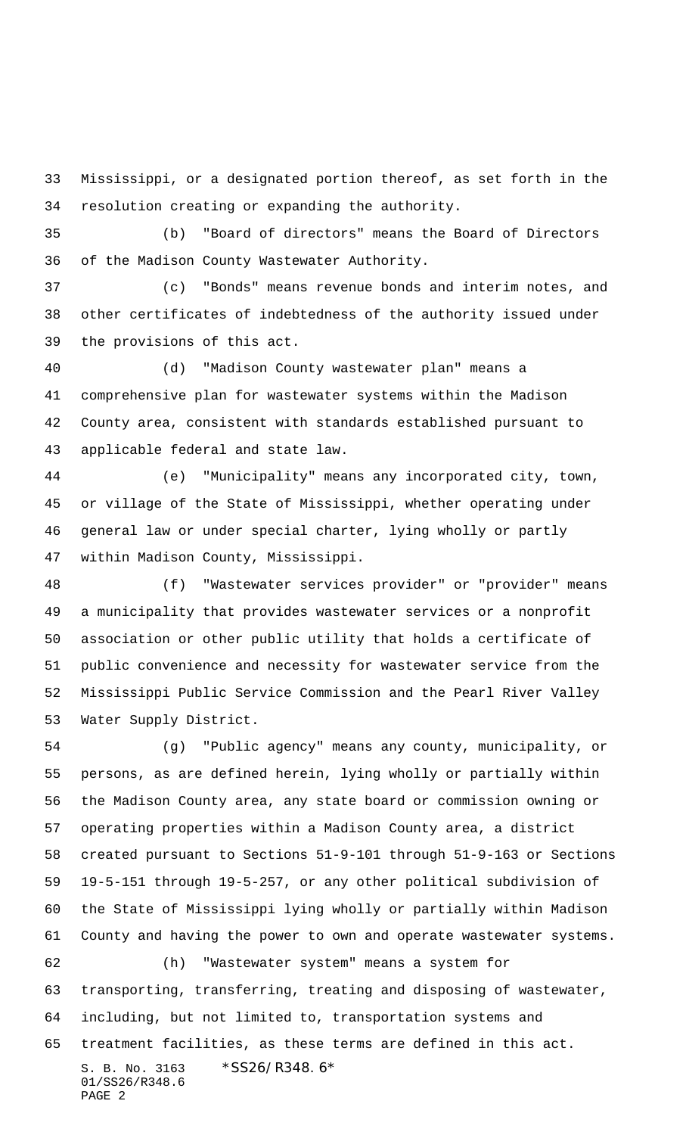Mississippi, or a designated portion thereof, as set forth in the resolution creating or expanding the authority.

 (b) "Board of directors" means the Board of Directors of the Madison County Wastewater Authority.

 (c) "Bonds" means revenue bonds and interim notes, and other certificates of indebtedness of the authority issued under the provisions of this act.

 (d) "Madison County wastewater plan" means a comprehensive plan for wastewater systems within the Madison County area, consistent with standards established pursuant to applicable federal and state law.

 (e) "Municipality" means any incorporated city, town, or village of the State of Mississippi, whether operating under general law or under special charter, lying wholly or partly within Madison County, Mississippi.

 (f) "Wastewater services provider" or "provider" means a municipality that provides wastewater services or a nonprofit association or other public utility that holds a certificate of public convenience and necessity for wastewater service from the Mississippi Public Service Commission and the Pearl River Valley Water Supply District.

 (g) "Public agency" means any county, municipality, or persons, as are defined herein, lying wholly or partially within the Madison County area, any state board or commission owning or operating properties within a Madison County area, a district created pursuant to Sections 51-9-101 through 51-9-163 or Sections 19-5-151 through 19-5-257, or any other political subdivision of the State of Mississippi lying wholly or partially within Madison County and having the power to own and operate wastewater systems. (h) "Wastewater system" means a system for transporting, transferring, treating and disposing of wastewater, including, but not limited to, transportation systems and

treatment facilities, as these terms are defined in this act.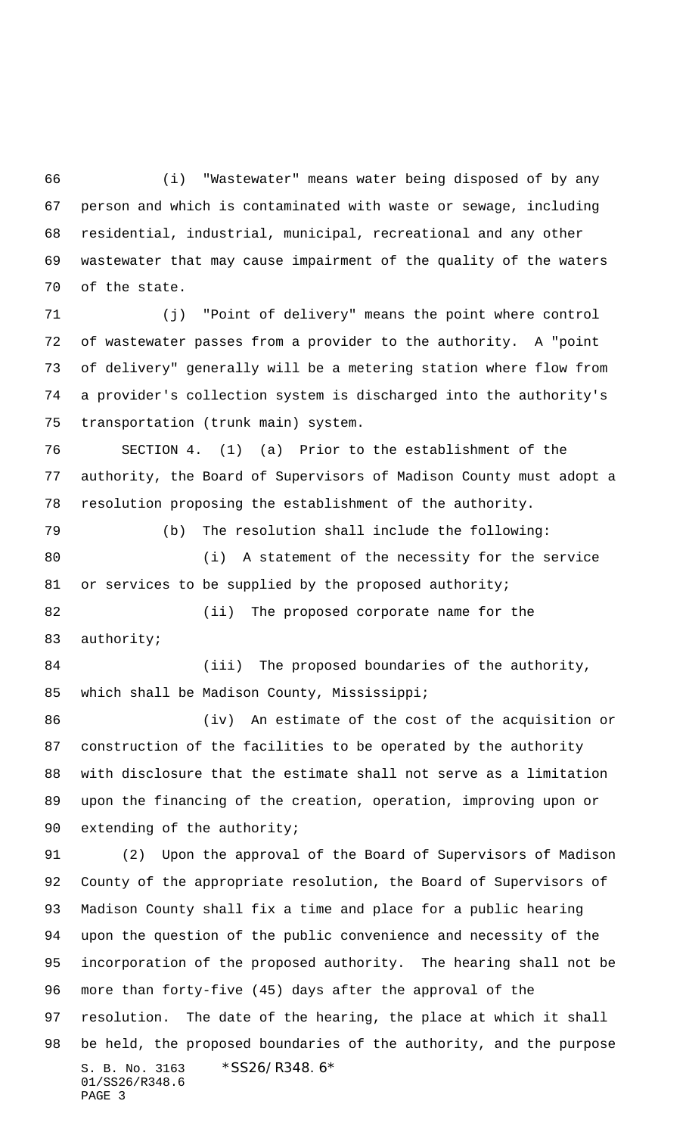(i) "Wastewater" means water being disposed of by any person and which is contaminated with waste or sewage, including residential, industrial, municipal, recreational and any other wastewater that may cause impairment of the quality of the waters of the state.

 (j) "Point of delivery" means the point where control of wastewater passes from a provider to the authority. A "point of delivery" generally will be a metering station where flow from a provider's collection system is discharged into the authority's transportation (trunk main) system.

 SECTION 4. (1) (a) Prior to the establishment of the authority, the Board of Supervisors of Madison County must adopt a resolution proposing the establishment of the authority.

 (b) The resolution shall include the following: (i) A statement of the necessity for the service 81 or services to be supplied by the proposed authority;

 (ii) The proposed corporate name for the authority;

84 (iii) The proposed boundaries of the authority, which shall be Madison County, Mississippi;

 (iv) An estimate of the cost of the acquisition or construction of the facilities to be operated by the authority with disclosure that the estimate shall not serve as a limitation upon the financing of the creation, operation, improving upon or 90 extending of the authority;

S. B. No. 3163 \*SS26/R348.6\* 01/SS26/R348.6 PAGE 3 (2) Upon the approval of the Board of Supervisors of Madison County of the appropriate resolution, the Board of Supervisors of Madison County shall fix a time and place for a public hearing upon the question of the public convenience and necessity of the incorporation of the proposed authority. The hearing shall not be more than forty-five (45) days after the approval of the resolution. The date of the hearing, the place at which it shall be held, the proposed boundaries of the authority, and the purpose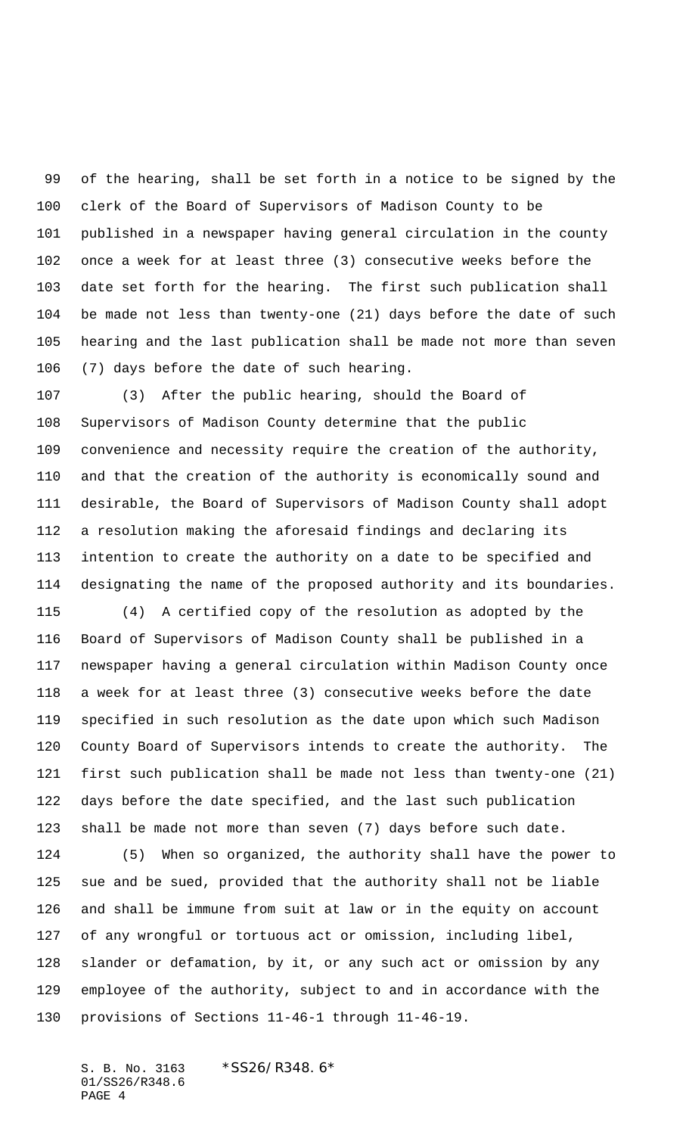of the hearing, shall be set forth in a notice to be signed by the clerk of the Board of Supervisors of Madison County to be published in a newspaper having general circulation in the county once a week for at least three (3) consecutive weeks before the date set forth for the hearing. The first such publication shall be made not less than twenty-one (21) days before the date of such hearing and the last publication shall be made not more than seven (7) days before the date of such hearing.

 (3) After the public hearing, should the Board of Supervisors of Madison County determine that the public convenience and necessity require the creation of the authority, and that the creation of the authority is economically sound and desirable, the Board of Supervisors of Madison County shall adopt a resolution making the aforesaid findings and declaring its intention to create the authority on a date to be specified and designating the name of the proposed authority and its boundaries.

 (4) A certified copy of the resolution as adopted by the Board of Supervisors of Madison County shall be published in a newspaper having a general circulation within Madison County once a week for at least three (3) consecutive weeks before the date specified in such resolution as the date upon which such Madison County Board of Supervisors intends to create the authority. The first such publication shall be made not less than twenty-one (21) days before the date specified, and the last such publication shall be made not more than seven (7) days before such date.

 (5) When so organized, the authority shall have the power to sue and be sued, provided that the authority shall not be liable and shall be immune from suit at law or in the equity on account of any wrongful or tortuous act or omission, including libel, slander or defamation, by it, or any such act or omission by any employee of the authority, subject to and in accordance with the provisions of Sections 11-46-1 through 11-46-19.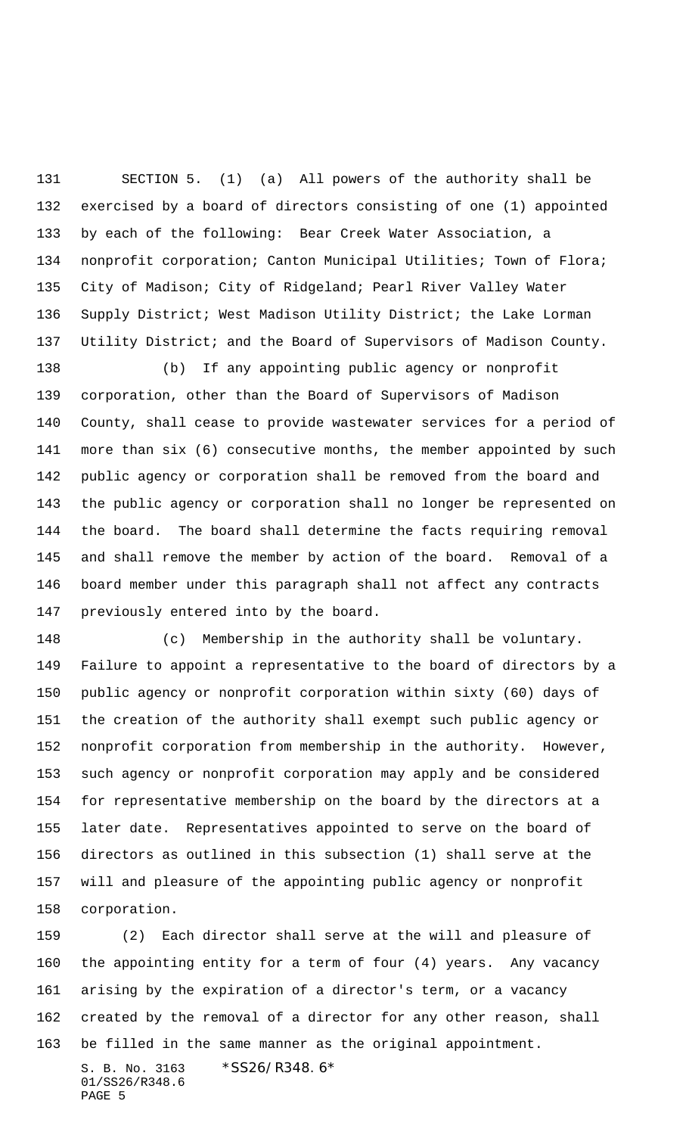SECTION 5. (1) (a) All powers of the authority shall be exercised by a board of directors consisting of one (1) appointed by each of the following: Bear Creek Water Association, a nonprofit corporation; Canton Municipal Utilities; Town of Flora; City of Madison; City of Ridgeland; Pearl River Valley Water Supply District; West Madison Utility District; the Lake Lorman Utility District; and the Board of Supervisors of Madison County.

 (b) If any appointing public agency or nonprofit corporation, other than the Board of Supervisors of Madison County, shall cease to provide wastewater services for a period of more than six (6) consecutive months, the member appointed by such public agency or corporation shall be removed from the board and the public agency or corporation shall no longer be represented on the board. The board shall determine the facts requiring removal and shall remove the member by action of the board. Removal of a board member under this paragraph shall not affect any contracts previously entered into by the board.

 (c) Membership in the authority shall be voluntary. Failure to appoint a representative to the board of directors by a public agency or nonprofit corporation within sixty (60) days of the creation of the authority shall exempt such public agency or nonprofit corporation from membership in the authority. However, such agency or nonprofit corporation may apply and be considered for representative membership on the board by the directors at a later date. Representatives appointed to serve on the board of directors as outlined in this subsection (1) shall serve at the will and pleasure of the appointing public agency or nonprofit corporation.

S. B. No. 3163 \*SS26/R348.6\* 01/SS26/R348.6 PAGE 5 (2) Each director shall serve at the will and pleasure of the appointing entity for a term of four (4) years. Any vacancy arising by the expiration of a director's term, or a vacancy created by the removal of a director for any other reason, shall be filled in the same manner as the original appointment.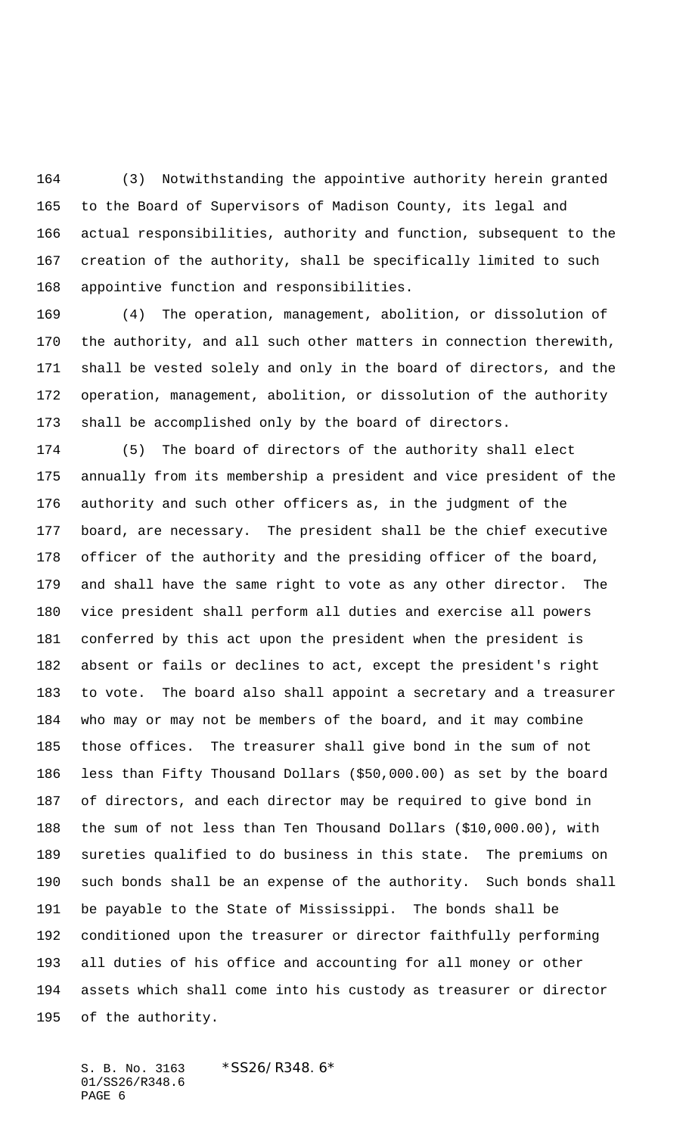(3) Notwithstanding the appointive authority herein granted to the Board of Supervisors of Madison County, its legal and actual responsibilities, authority and function, subsequent to the creation of the authority, shall be specifically limited to such appointive function and responsibilities.

 (4) The operation, management, abolition, or dissolution of the authority, and all such other matters in connection therewith, shall be vested solely and only in the board of directors, and the operation, management, abolition, or dissolution of the authority shall be accomplished only by the board of directors.

 (5) The board of directors of the authority shall elect annually from its membership a president and vice president of the authority and such other officers as, in the judgment of the board, are necessary. The president shall be the chief executive officer of the authority and the presiding officer of the board, and shall have the same right to vote as any other director. The vice president shall perform all duties and exercise all powers conferred by this act upon the president when the president is absent or fails or declines to act, except the president's right to vote. The board also shall appoint a secretary and a treasurer who may or may not be members of the board, and it may combine those offices. The treasurer shall give bond in the sum of not less than Fifty Thousand Dollars (\$50,000.00) as set by the board of directors, and each director may be required to give bond in the sum of not less than Ten Thousand Dollars (\$10,000.00), with sureties qualified to do business in this state. The premiums on such bonds shall be an expense of the authority. Such bonds shall be payable to the State of Mississippi. The bonds shall be conditioned upon the treasurer or director faithfully performing all duties of his office and accounting for all money or other assets which shall come into his custody as treasurer or director of the authority.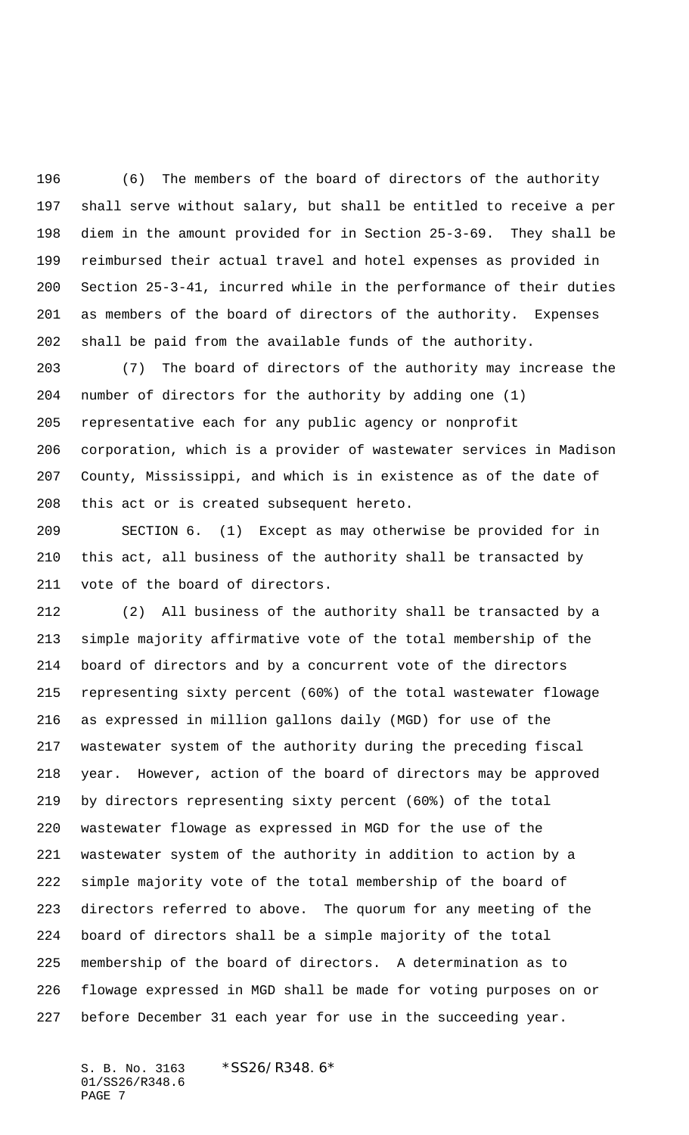(6) The members of the board of directors of the authority shall serve without salary, but shall be entitled to receive a per diem in the amount provided for in Section 25-3-69. They shall be reimbursed their actual travel and hotel expenses as provided in Section 25-3-41, incurred while in the performance of their duties as members of the board of directors of the authority. Expenses shall be paid from the available funds of the authority.

 (7) The board of directors of the authority may increase the number of directors for the authority by adding one (1) representative each for any public agency or nonprofit corporation, which is a provider of wastewater services in Madison County, Mississippi, and which is in existence as of the date of this act or is created subsequent hereto.

 SECTION 6. (1) Except as may otherwise be provided for in this act, all business of the authority shall be transacted by vote of the board of directors.

 (2) All business of the authority shall be transacted by a simple majority affirmative vote of the total membership of the board of directors and by a concurrent vote of the directors representing sixty percent (60%) of the total wastewater flowage as expressed in million gallons daily (MGD) for use of the wastewater system of the authority during the preceding fiscal year. However, action of the board of directors may be approved by directors representing sixty percent (60%) of the total wastewater flowage as expressed in MGD for the use of the wastewater system of the authority in addition to action by a simple majority vote of the total membership of the board of directors referred to above. The quorum for any meeting of the board of directors shall be a simple majority of the total membership of the board of directors. A determination as to flowage expressed in MGD shall be made for voting purposes on or before December 31 each year for use in the succeeding year.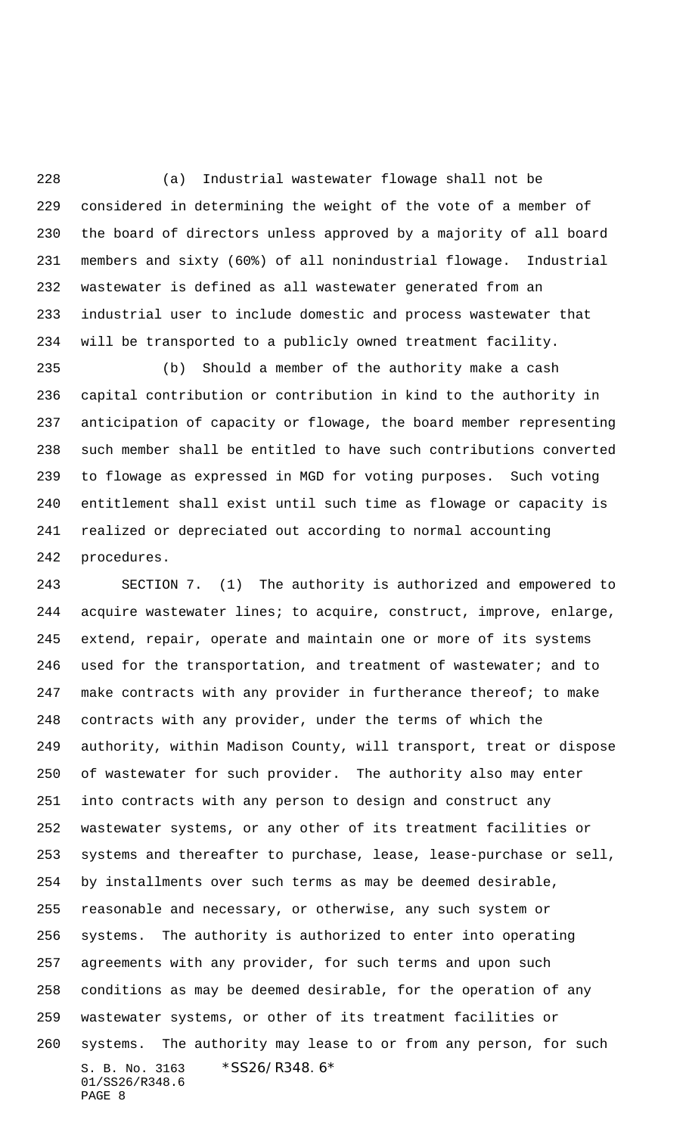(a) Industrial wastewater flowage shall not be considered in determining the weight of the vote of a member of the board of directors unless approved by a majority of all board members and sixty (60%) of all nonindustrial flowage. Industrial wastewater is defined as all wastewater generated from an industrial user to include domestic and process wastewater that will be transported to a publicly owned treatment facility.

 (b) Should a member of the authority make a cash capital contribution or contribution in kind to the authority in anticipation of capacity or flowage, the board member representing such member shall be entitled to have such contributions converted to flowage as expressed in MGD for voting purposes. Such voting entitlement shall exist until such time as flowage or capacity is realized or depreciated out according to normal accounting procedures.

S. B. No. 3163 \*SS26/R348.6\* 01/SS26/R348.6 PAGE 8 SECTION 7. (1) The authority is authorized and empowered to acquire wastewater lines; to acquire, construct, improve, enlarge, extend, repair, operate and maintain one or more of its systems 246 used for the transportation, and treatment of wastewater; and to 247 make contracts with any provider in furtherance thereof; to make contracts with any provider, under the terms of which the authority, within Madison County, will transport, treat or dispose of wastewater for such provider. The authority also may enter into contracts with any person to design and construct any wastewater systems, or any other of its treatment facilities or systems and thereafter to purchase, lease, lease-purchase or sell, by installments over such terms as may be deemed desirable, reasonable and necessary, or otherwise, any such system or systems. The authority is authorized to enter into operating agreements with any provider, for such terms and upon such conditions as may be deemed desirable, for the operation of any wastewater systems, or other of its treatment facilities or systems. The authority may lease to or from any person, for such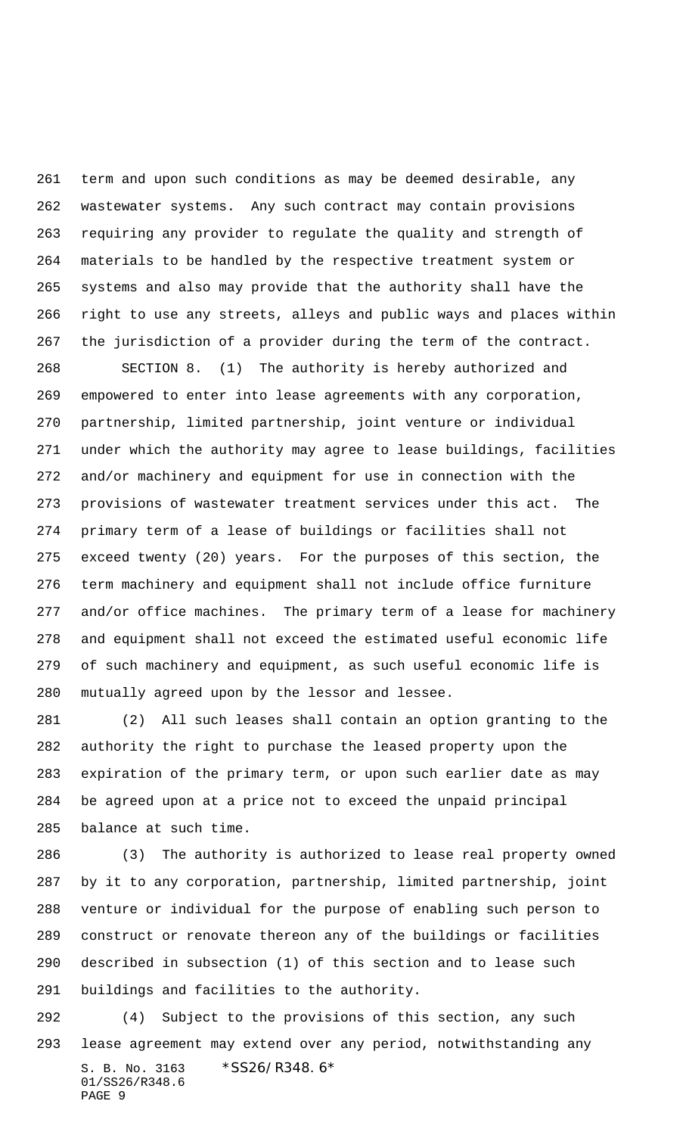term and upon such conditions as may be deemed desirable, any wastewater systems. Any such contract may contain provisions requiring any provider to regulate the quality and strength of materials to be handled by the respective treatment system or systems and also may provide that the authority shall have the right to use any streets, alleys and public ways and places within the jurisdiction of a provider during the term of the contract.

 SECTION 8. (1) The authority is hereby authorized and empowered to enter into lease agreements with any corporation, partnership, limited partnership, joint venture or individual under which the authority may agree to lease buildings, facilities and/or machinery and equipment for use in connection with the provisions of wastewater treatment services under this act. The primary term of a lease of buildings or facilities shall not exceed twenty (20) years. For the purposes of this section, the term machinery and equipment shall not include office furniture and/or office machines. The primary term of a lease for machinery and equipment shall not exceed the estimated useful economic life of such machinery and equipment, as such useful economic life is mutually agreed upon by the lessor and lessee.

 (2) All such leases shall contain an option granting to the authority the right to purchase the leased property upon the expiration of the primary term, or upon such earlier date as may be agreed upon at a price not to exceed the unpaid principal balance at such time.

 (3) The authority is authorized to lease real property owned by it to any corporation, partnership, limited partnership, joint venture or individual for the purpose of enabling such person to construct or renovate thereon any of the buildings or facilities described in subsection (1) of this section and to lease such buildings and facilities to the authority.

S. B. No. 3163 \*SS26/R348.6\* 01/SS26/R348.6 PAGE 9 (4) Subject to the provisions of this section, any such lease agreement may extend over any period, notwithstanding any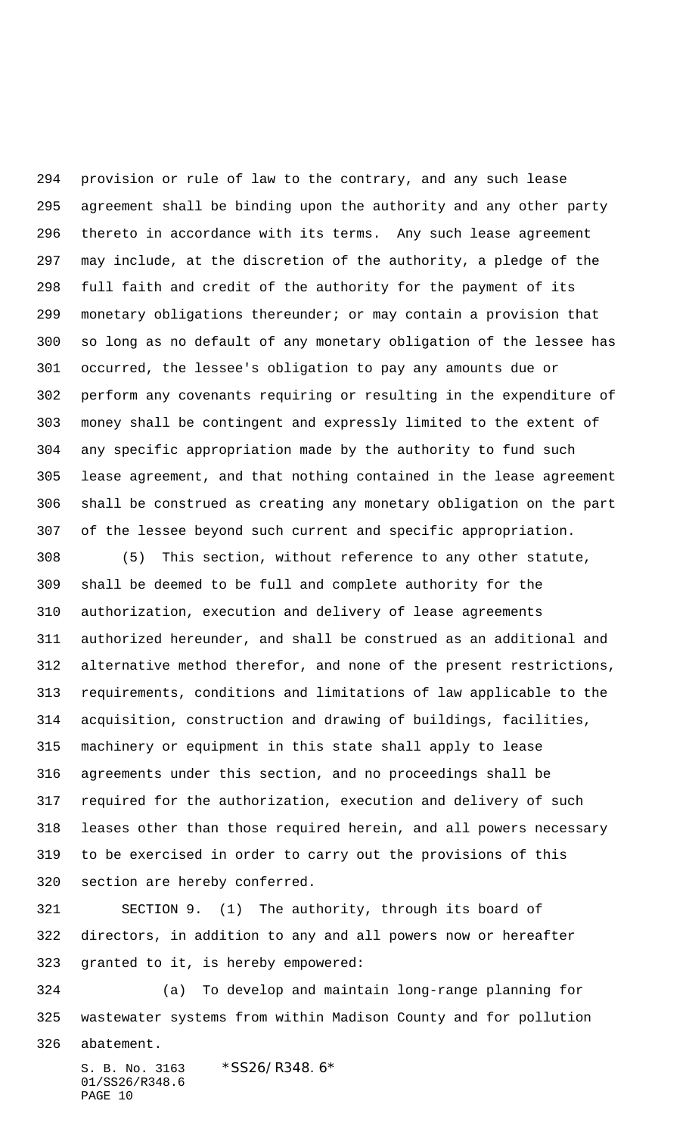provision or rule of law to the contrary, and any such lease agreement shall be binding upon the authority and any other party thereto in accordance with its terms. Any such lease agreement may include, at the discretion of the authority, a pledge of the full faith and credit of the authority for the payment of its monetary obligations thereunder; or may contain a provision that so long as no default of any monetary obligation of the lessee has occurred, the lessee's obligation to pay any amounts due or perform any covenants requiring or resulting in the expenditure of money shall be contingent and expressly limited to the extent of any specific appropriation made by the authority to fund such lease agreement, and that nothing contained in the lease agreement shall be construed as creating any monetary obligation on the part of the lessee beyond such current and specific appropriation.

 (5) This section, without reference to any other statute, shall be deemed to be full and complete authority for the authorization, execution and delivery of lease agreements authorized hereunder, and shall be construed as an additional and alternative method therefor, and none of the present restrictions, requirements, conditions and limitations of law applicable to the acquisition, construction and drawing of buildings, facilities, machinery or equipment in this state shall apply to lease agreements under this section, and no proceedings shall be required for the authorization, execution and delivery of such leases other than those required herein, and all powers necessary to be exercised in order to carry out the provisions of this section are hereby conferred.

 SECTION 9. (1) The authority, through its board of directors, in addition to any and all powers now or hereafter granted to it, is hereby empowered:

 (a) To develop and maintain long-range planning for wastewater systems from within Madison County and for pollution abatement.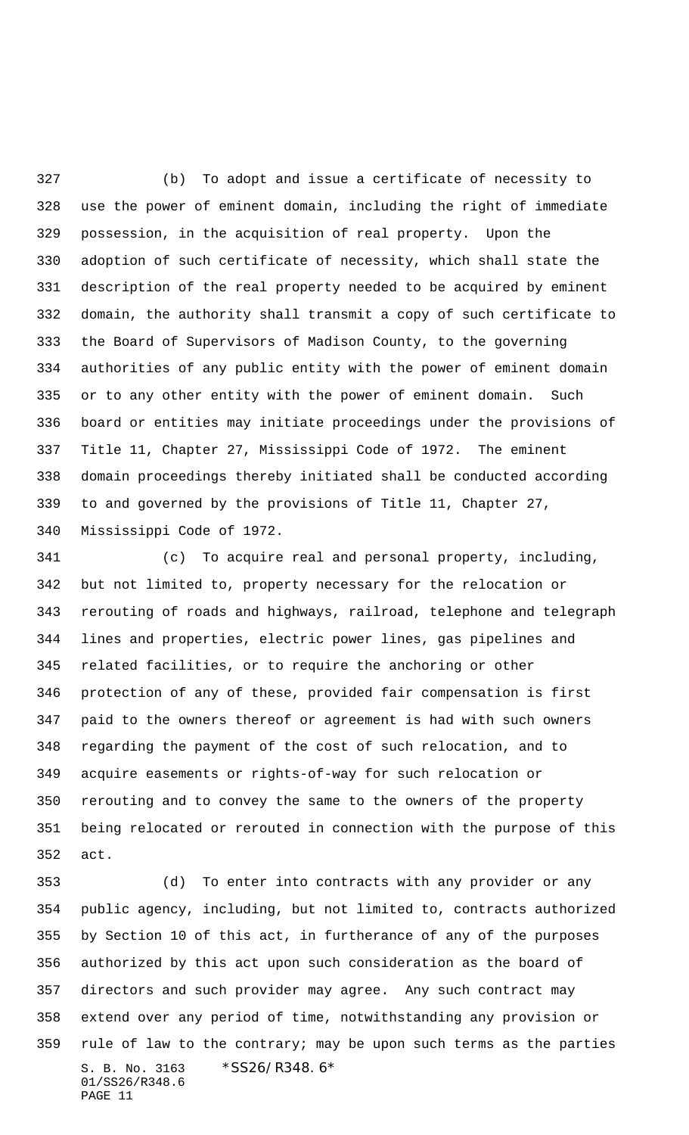(b) To adopt and issue a certificate of necessity to use the power of eminent domain, including the right of immediate possession, in the acquisition of real property. Upon the adoption of such certificate of necessity, which shall state the description of the real property needed to be acquired by eminent domain, the authority shall transmit a copy of such certificate to the Board of Supervisors of Madison County, to the governing authorities of any public entity with the power of eminent domain or to any other entity with the power of eminent domain. Such board or entities may initiate proceedings under the provisions of Title 11, Chapter 27, Mississippi Code of 1972. The eminent domain proceedings thereby initiated shall be conducted according to and governed by the provisions of Title 11, Chapter 27, Mississippi Code of 1972.

 (c) To acquire real and personal property, including, but not limited to, property necessary for the relocation or rerouting of roads and highways, railroad, telephone and telegraph lines and properties, electric power lines, gas pipelines and related facilities, or to require the anchoring or other protection of any of these, provided fair compensation is first paid to the owners thereof or agreement is had with such owners regarding the payment of the cost of such relocation, and to acquire easements or rights-of-way for such relocation or rerouting and to convey the same to the owners of the property being relocated or rerouted in connection with the purpose of this act.

S. B. No. 3163 \*SS26/R348.6\* 01/SS26/R348.6 PAGE 11 (d) To enter into contracts with any provider or any public agency, including, but not limited to, contracts authorized by Section 10 of this act, in furtherance of any of the purposes authorized by this act upon such consideration as the board of directors and such provider may agree. Any such contract may extend over any period of time, notwithstanding any provision or rule of law to the contrary; may be upon such terms as the parties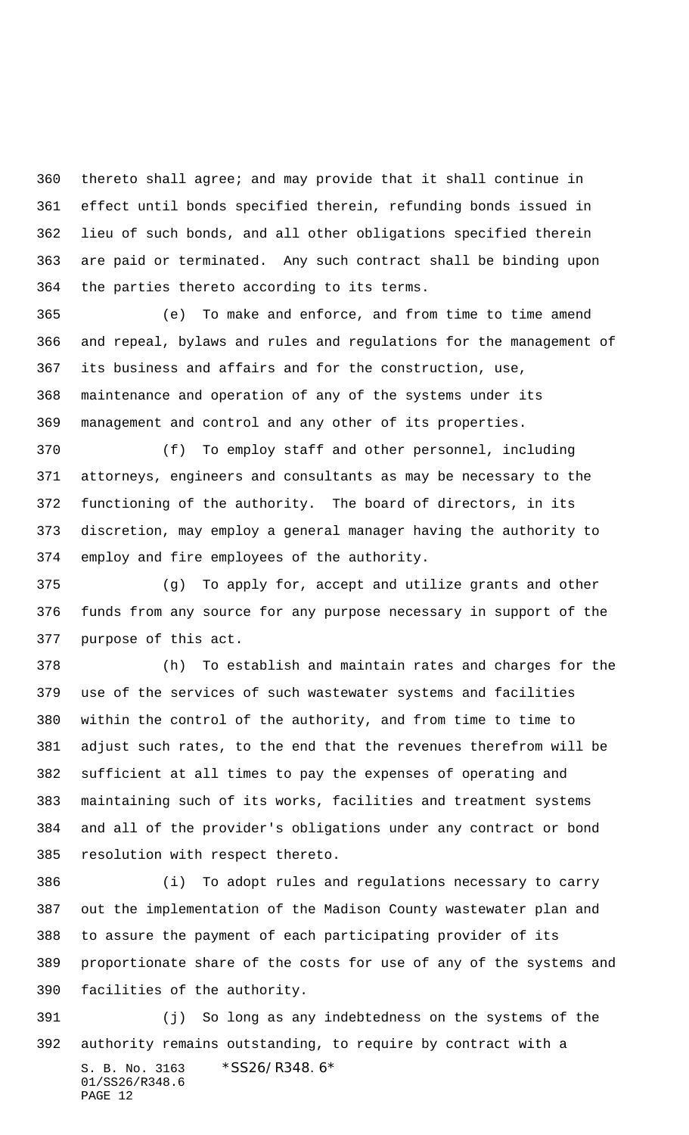thereto shall agree; and may provide that it shall continue in effect until bonds specified therein, refunding bonds issued in lieu of such bonds, and all other obligations specified therein are paid or terminated. Any such contract shall be binding upon the parties thereto according to its terms.

 (e) To make and enforce, and from time to time amend and repeal, bylaws and rules and regulations for the management of its business and affairs and for the construction, use, maintenance and operation of any of the systems under its management and control and any other of its properties.

 (f) To employ staff and other personnel, including attorneys, engineers and consultants as may be necessary to the functioning of the authority. The board of directors, in its discretion, may employ a general manager having the authority to employ and fire employees of the authority.

 (g) To apply for, accept and utilize grants and other funds from any source for any purpose necessary in support of the purpose of this act.

 (h) To establish and maintain rates and charges for the use of the services of such wastewater systems and facilities within the control of the authority, and from time to time to adjust such rates, to the end that the revenues therefrom will be sufficient at all times to pay the expenses of operating and maintaining such of its works, facilities and treatment systems and all of the provider's obligations under any contract or bond resolution with respect thereto.

 (i) To adopt rules and regulations necessary to carry out the implementation of the Madison County wastewater plan and to assure the payment of each participating provider of its proportionate share of the costs for use of any of the systems and facilities of the authority.

S. B. No. 3163 \*SS26/R348.6\* 01/SS26/R348.6 PAGE 12 (j) So long as any indebtedness on the systems of the authority remains outstanding, to require by contract with a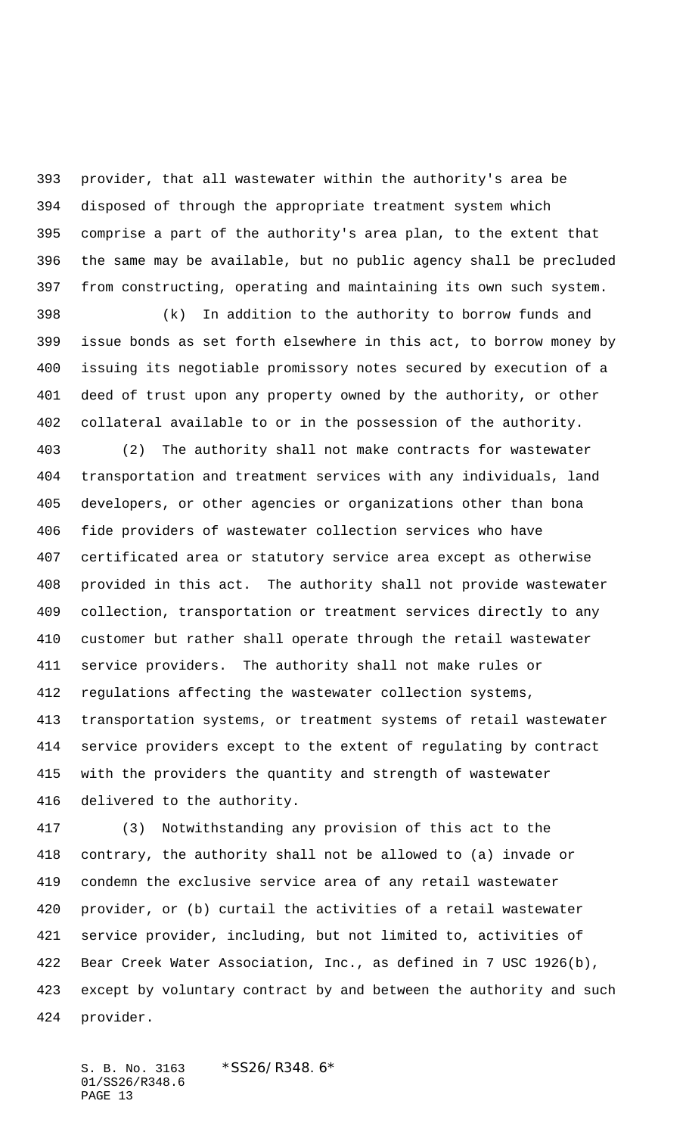provider, that all wastewater within the authority's area be disposed of through the appropriate treatment system which comprise a part of the authority's area plan, to the extent that the same may be available, but no public agency shall be precluded from constructing, operating and maintaining its own such system.

 (k) In addition to the authority to borrow funds and issue bonds as set forth elsewhere in this act, to borrow money by issuing its negotiable promissory notes secured by execution of a deed of trust upon any property owned by the authority, or other collateral available to or in the possession of the authority.

 (2) The authority shall not make contracts for wastewater transportation and treatment services with any individuals, land developers, or other agencies or organizations other than bona fide providers of wastewater collection services who have certificated area or statutory service area except as otherwise provided in this act. The authority shall not provide wastewater collection, transportation or treatment services directly to any customer but rather shall operate through the retail wastewater service providers. The authority shall not make rules or regulations affecting the wastewater collection systems, transportation systems, or treatment systems of retail wastewater service providers except to the extent of regulating by contract with the providers the quantity and strength of wastewater delivered to the authority.

 (3) Notwithstanding any provision of this act to the contrary, the authority shall not be allowed to (a) invade or condemn the exclusive service area of any retail wastewater provider, or (b) curtail the activities of a retail wastewater service provider, including, but not limited to, activities of Bear Creek Water Association, Inc., as defined in 7 USC 1926(b), except by voluntary contract by and between the authority and such provider.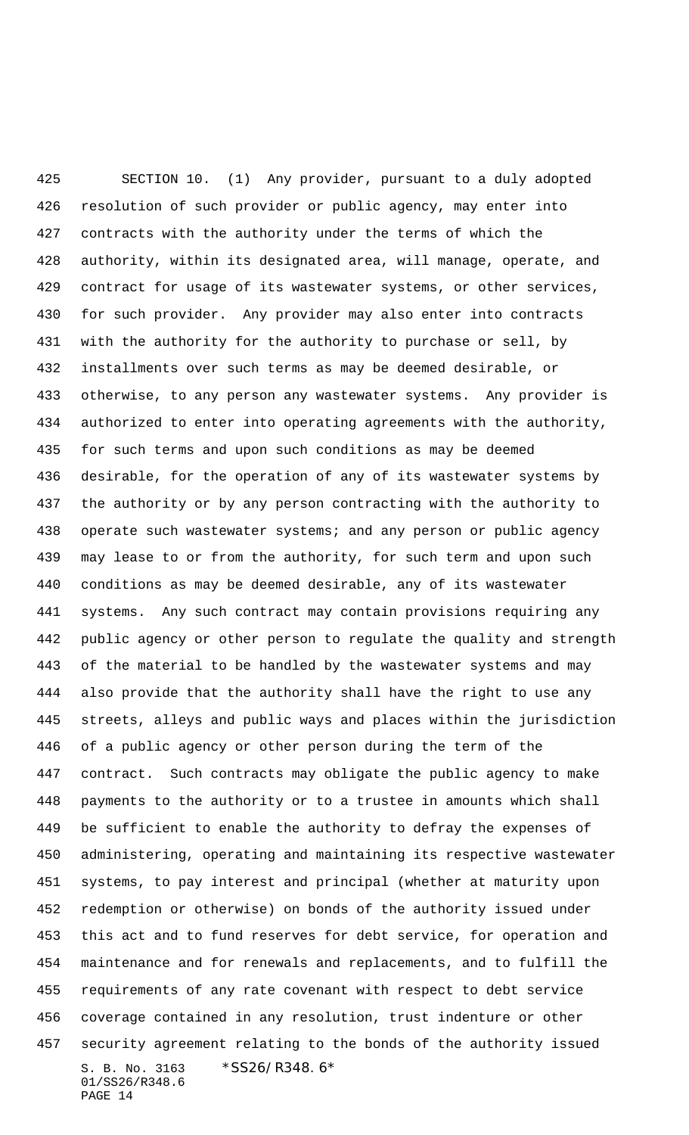S. B. No. 3163 \*SS26/R348.6\* 01/SS26/R348.6 PAGE 14 SECTION 10. (1) Any provider, pursuant to a duly adopted resolution of such provider or public agency, may enter into contracts with the authority under the terms of which the authority, within its designated area, will manage, operate, and contract for usage of its wastewater systems, or other services, for such provider. Any provider may also enter into contracts with the authority for the authority to purchase or sell, by installments over such terms as may be deemed desirable, or otherwise, to any person any wastewater systems. Any provider is authorized to enter into operating agreements with the authority, for such terms and upon such conditions as may be deemed desirable, for the operation of any of its wastewater systems by the authority or by any person contracting with the authority to 438 operate such wastewater systems; and any person or public agency may lease to or from the authority, for such term and upon such conditions as may be deemed desirable, any of its wastewater systems. Any such contract may contain provisions requiring any public agency or other person to regulate the quality and strength of the material to be handled by the wastewater systems and may also provide that the authority shall have the right to use any streets, alleys and public ways and places within the jurisdiction of a public agency or other person during the term of the contract. Such contracts may obligate the public agency to make payments to the authority or to a trustee in amounts which shall be sufficient to enable the authority to defray the expenses of administering, operating and maintaining its respective wastewater systems, to pay interest and principal (whether at maturity upon redemption or otherwise) on bonds of the authority issued under this act and to fund reserves for debt service, for operation and maintenance and for renewals and replacements, and to fulfill the requirements of any rate covenant with respect to debt service coverage contained in any resolution, trust indenture or other security agreement relating to the bonds of the authority issued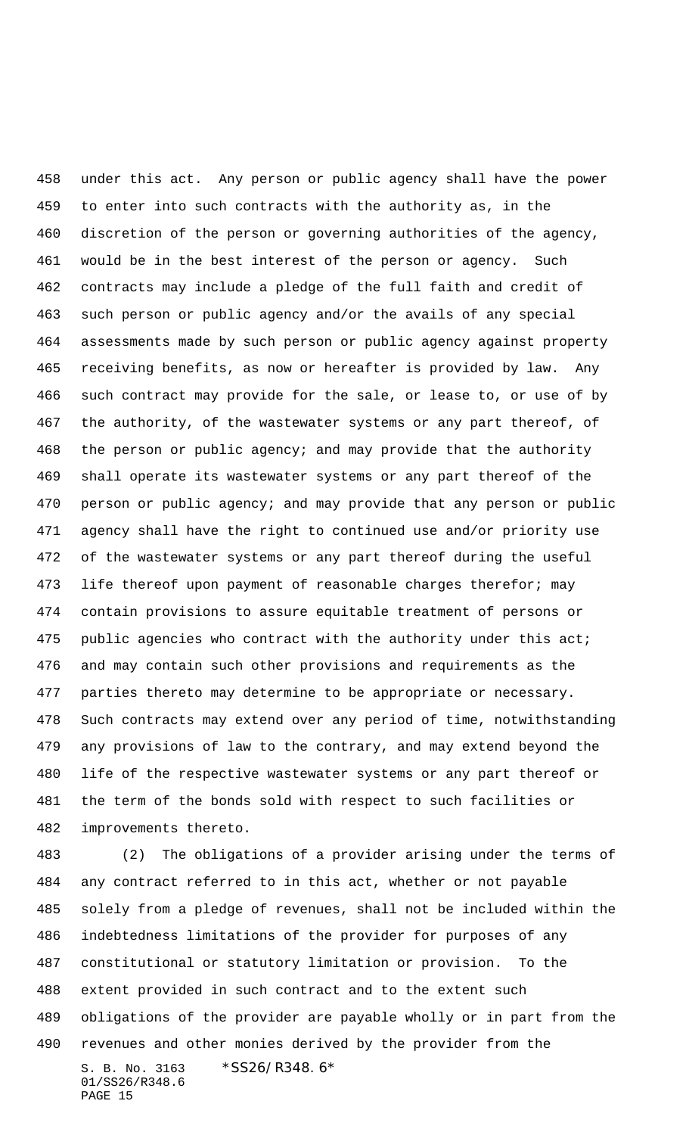under this act. Any person or public agency shall have the power to enter into such contracts with the authority as, in the discretion of the person or governing authorities of the agency, would be in the best interest of the person or agency. Such contracts may include a pledge of the full faith and credit of such person or public agency and/or the avails of any special assessments made by such person or public agency against property receiving benefits, as now or hereafter is provided by law. Any such contract may provide for the sale, or lease to, or use of by the authority, of the wastewater systems or any part thereof, of the person or public agency; and may provide that the authority shall operate its wastewater systems or any part thereof of the person or public agency; and may provide that any person or public agency shall have the right to continued use and/or priority use of the wastewater systems or any part thereof during the useful 473 life thereof upon payment of reasonable charges therefor; may contain provisions to assure equitable treatment of persons or 475 public agencies who contract with the authority under this act; and may contain such other provisions and requirements as the parties thereto may determine to be appropriate or necessary. Such contracts may extend over any period of time, notwithstanding any provisions of law to the contrary, and may extend beyond the life of the respective wastewater systems or any part thereof or the term of the bonds sold with respect to such facilities or improvements thereto.

S. B. No. 3163 \*SS26/R348.6\* 01/SS26/R348.6 PAGE 15 (2) The obligations of a provider arising under the terms of any contract referred to in this act, whether or not payable solely from a pledge of revenues, shall not be included within the indebtedness limitations of the provider for purposes of any constitutional or statutory limitation or provision. To the extent provided in such contract and to the extent such obligations of the provider are payable wholly or in part from the revenues and other monies derived by the provider from the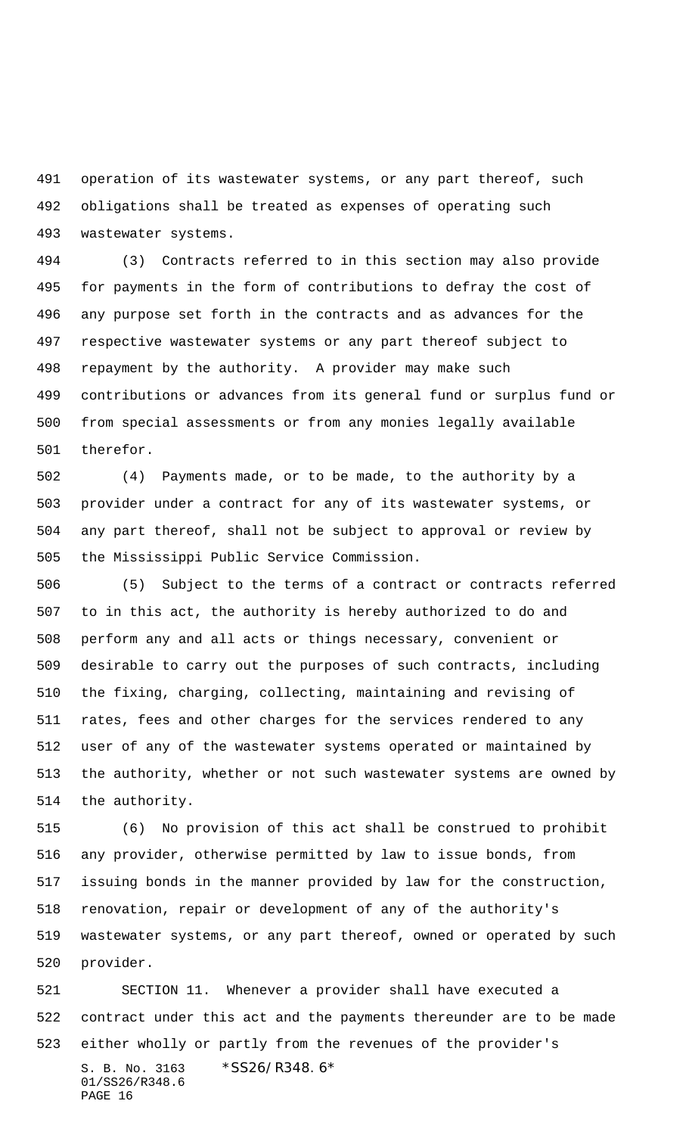operation of its wastewater systems, or any part thereof, such obligations shall be treated as expenses of operating such wastewater systems.

 (3) Contracts referred to in this section may also provide for payments in the form of contributions to defray the cost of any purpose set forth in the contracts and as advances for the respective wastewater systems or any part thereof subject to repayment by the authority. A provider may make such contributions or advances from its general fund or surplus fund or from special assessments or from any monies legally available therefor.

 (4) Payments made, or to be made, to the authority by a provider under a contract for any of its wastewater systems, or any part thereof, shall not be subject to approval or review by the Mississippi Public Service Commission.

 (5) Subject to the terms of a contract or contracts referred to in this act, the authority is hereby authorized to do and perform any and all acts or things necessary, convenient or desirable to carry out the purposes of such contracts, including the fixing, charging, collecting, maintaining and revising of rates, fees and other charges for the services rendered to any user of any of the wastewater systems operated or maintained by the authority, whether or not such wastewater systems are owned by the authority.

 (6) No provision of this act shall be construed to prohibit any provider, otherwise permitted by law to issue bonds, from issuing bonds in the manner provided by law for the construction, renovation, repair or development of any of the authority's wastewater systems, or any part thereof, owned or operated by such provider.

S. B. No. 3163 \*SS26/R348.6\* 01/SS26/R348.6 PAGE 16 SECTION 11. Whenever a provider shall have executed a contract under this act and the payments thereunder are to be made either wholly or partly from the revenues of the provider's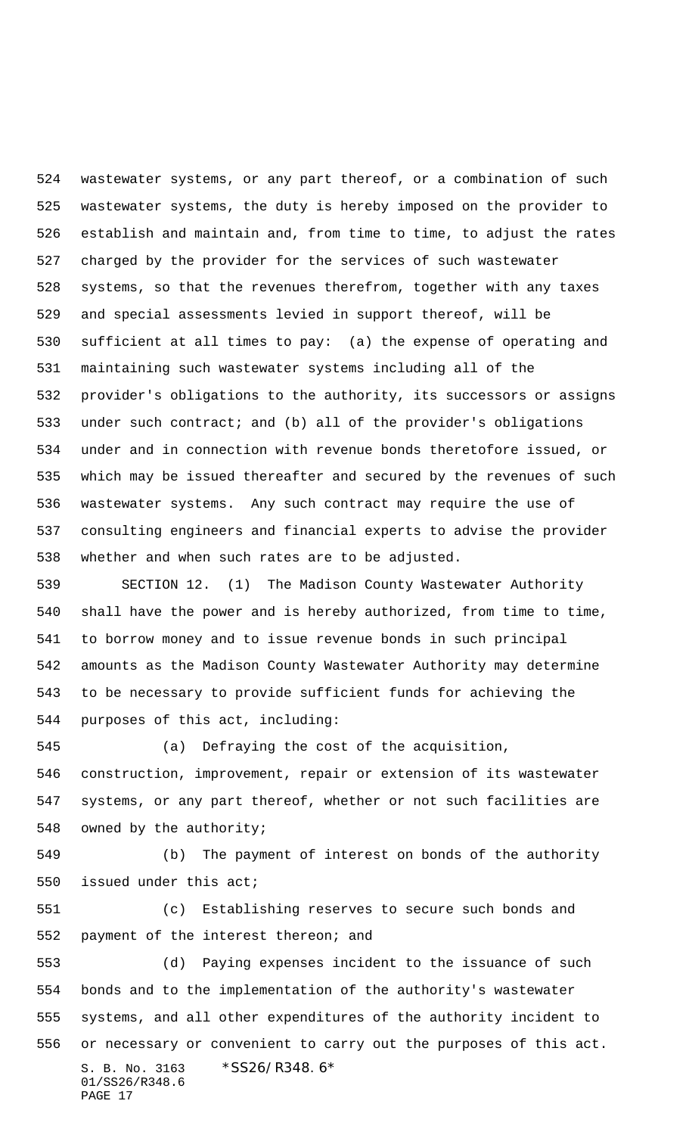wastewater systems, or any part thereof, or a combination of such wastewater systems, the duty is hereby imposed on the provider to establish and maintain and, from time to time, to adjust the rates charged by the provider for the services of such wastewater systems, so that the revenues therefrom, together with any taxes and special assessments levied in support thereof, will be sufficient at all times to pay: (a) the expense of operating and maintaining such wastewater systems including all of the provider's obligations to the authority, its successors or assigns under such contract; and (b) all of the provider's obligations under and in connection with revenue bonds theretofore issued, or which may be issued thereafter and secured by the revenues of such wastewater systems. Any such contract may require the use of consulting engineers and financial experts to advise the provider whether and when such rates are to be adjusted.

 SECTION 12. (1) The Madison County Wastewater Authority shall have the power and is hereby authorized, from time to time, to borrow money and to issue revenue bonds in such principal amounts as the Madison County Wastewater Authority may determine to be necessary to provide sufficient funds for achieving the purposes of this act, including:

 (a) Defraying the cost of the acquisition, construction, improvement, repair or extension of its wastewater systems, or any part thereof, whether or not such facilities are owned by the authority;

 (b) The payment of interest on bonds of the authority issued under this act;

 (c) Establishing reserves to secure such bonds and payment of the interest thereon; and

S. B. No. 3163 \*SS26/R348.6\* 01/SS26/R348.6 PAGE 17 (d) Paying expenses incident to the issuance of such bonds and to the implementation of the authority's wastewater systems, and all other expenditures of the authority incident to or necessary or convenient to carry out the purposes of this act.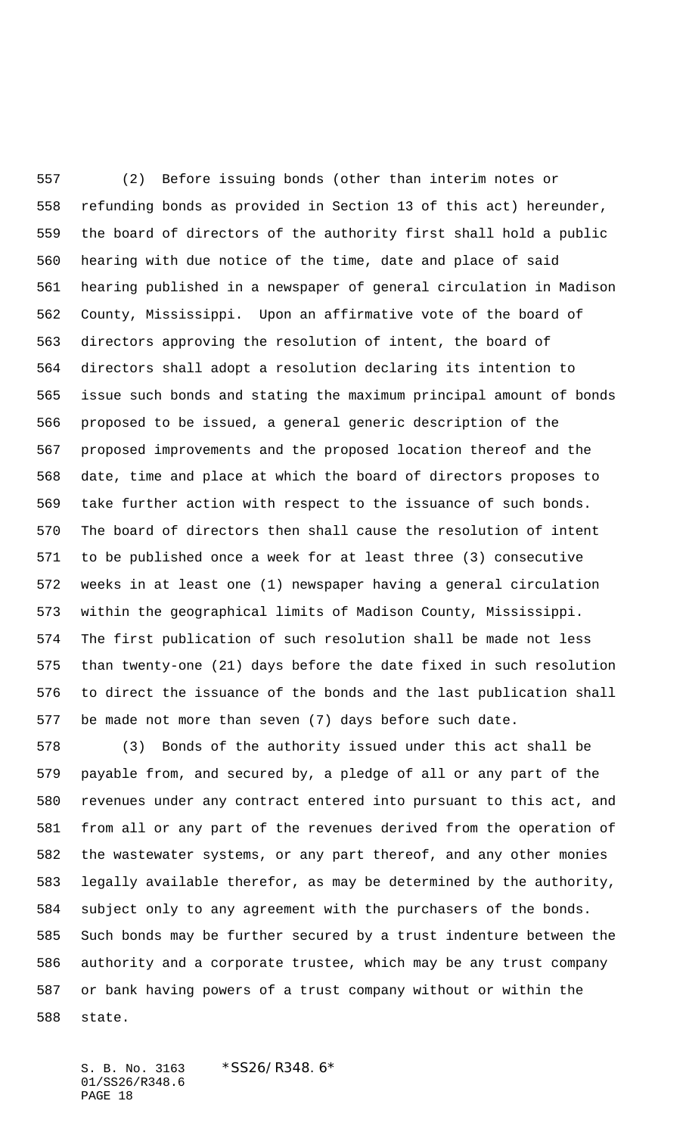(2) Before issuing bonds (other than interim notes or refunding bonds as provided in Section 13 of this act) hereunder, the board of directors of the authority first shall hold a public hearing with due notice of the time, date and place of said hearing published in a newspaper of general circulation in Madison County, Mississippi. Upon an affirmative vote of the board of directors approving the resolution of intent, the board of directors shall adopt a resolution declaring its intention to issue such bonds and stating the maximum principal amount of bonds proposed to be issued, a general generic description of the proposed improvements and the proposed location thereof and the date, time and place at which the board of directors proposes to take further action with respect to the issuance of such bonds. The board of directors then shall cause the resolution of intent to be published once a week for at least three (3) consecutive weeks in at least one (1) newspaper having a general circulation within the geographical limits of Madison County, Mississippi. The first publication of such resolution shall be made not less than twenty-one (21) days before the date fixed in such resolution to direct the issuance of the bonds and the last publication shall be made not more than seven (7) days before such date.

 (3) Bonds of the authority issued under this act shall be payable from, and secured by, a pledge of all or any part of the revenues under any contract entered into pursuant to this act, and from all or any part of the revenues derived from the operation of the wastewater systems, or any part thereof, and any other monies legally available therefor, as may be determined by the authority, subject only to any agreement with the purchasers of the bonds. Such bonds may be further secured by a trust indenture between the authority and a corporate trustee, which may be any trust company or bank having powers of a trust company without or within the state.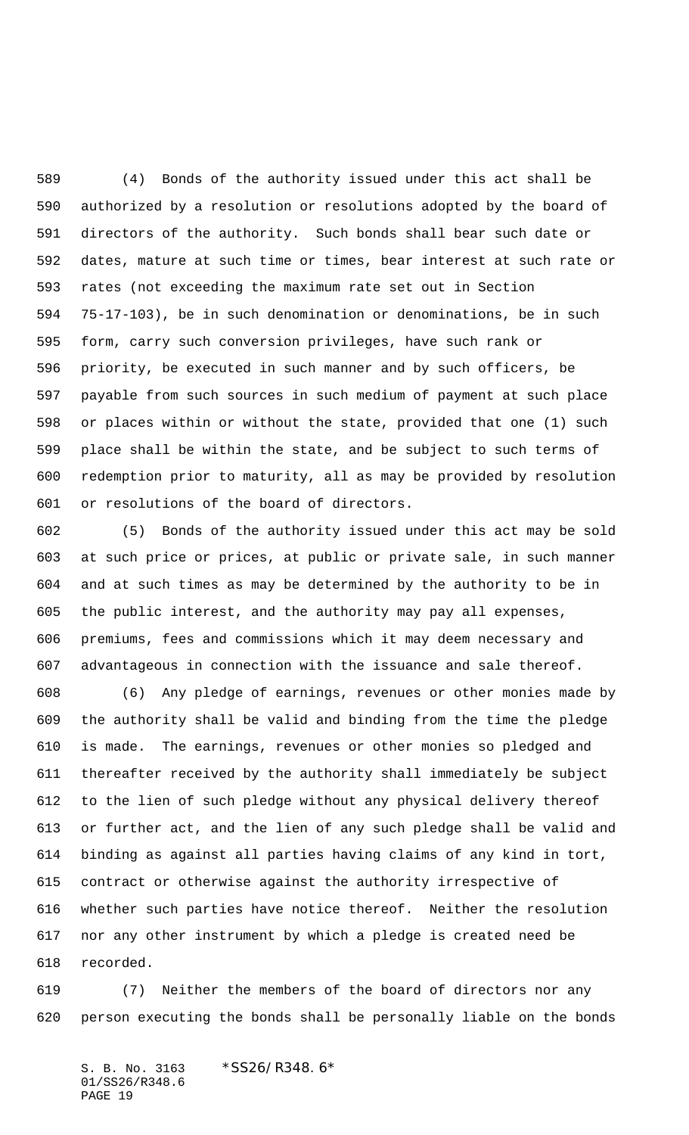(4) Bonds of the authority issued under this act shall be authorized by a resolution or resolutions adopted by the board of directors of the authority. Such bonds shall bear such date or dates, mature at such time or times, bear interest at such rate or rates (not exceeding the maximum rate set out in Section 75-17-103), be in such denomination or denominations, be in such form, carry such conversion privileges, have such rank or priority, be executed in such manner and by such officers, be payable from such sources in such medium of payment at such place or places within or without the state, provided that one (1) such place shall be within the state, and be subject to such terms of redemption prior to maturity, all as may be provided by resolution or resolutions of the board of directors.

 (5) Bonds of the authority issued under this act may be sold at such price or prices, at public or private sale, in such manner and at such times as may be determined by the authority to be in the public interest, and the authority may pay all expenses, premiums, fees and commissions which it may deem necessary and advantageous in connection with the issuance and sale thereof.

 (6) Any pledge of earnings, revenues or other monies made by the authority shall be valid and binding from the time the pledge is made. The earnings, revenues or other monies so pledged and thereafter received by the authority shall immediately be subject to the lien of such pledge without any physical delivery thereof or further act, and the lien of any such pledge shall be valid and binding as against all parties having claims of any kind in tort, contract or otherwise against the authority irrespective of whether such parties have notice thereof. Neither the resolution nor any other instrument by which a pledge is created need be recorded.

 (7) Neither the members of the board of directors nor any person executing the bonds shall be personally liable on the bonds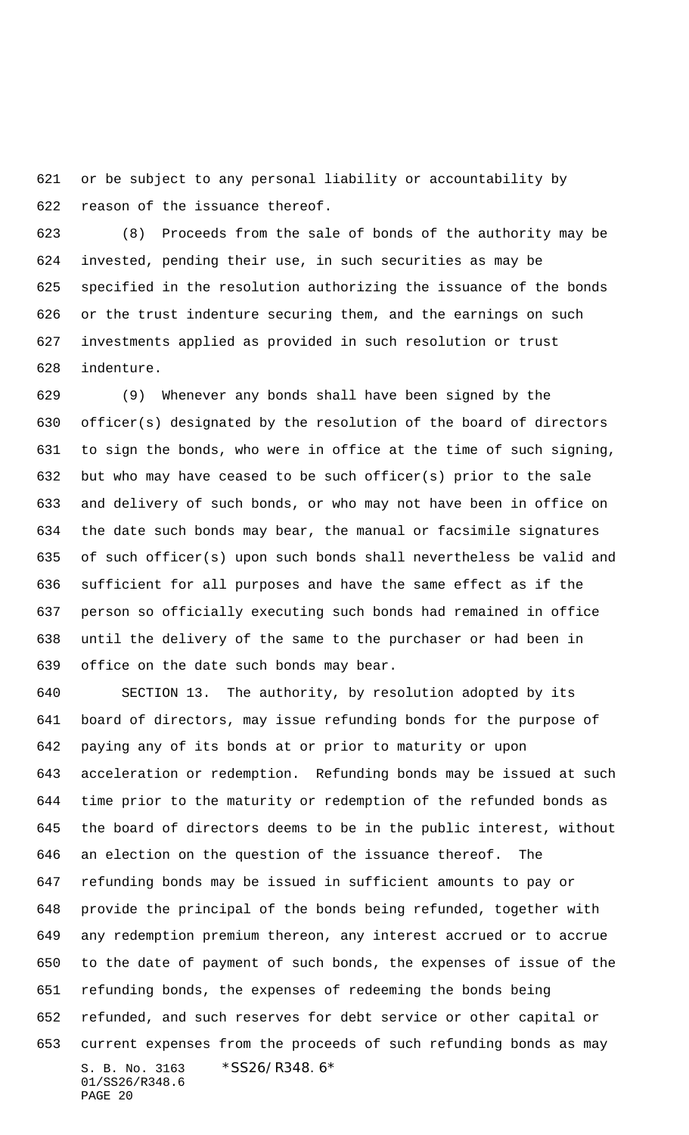or be subject to any personal liability or accountability by reason of the issuance thereof.

 (8) Proceeds from the sale of bonds of the authority may be invested, pending their use, in such securities as may be specified in the resolution authorizing the issuance of the bonds or the trust indenture securing them, and the earnings on such investments applied as provided in such resolution or trust indenture.

 (9) Whenever any bonds shall have been signed by the officer(s) designated by the resolution of the board of directors to sign the bonds, who were in office at the time of such signing, but who may have ceased to be such officer(s) prior to the sale and delivery of such bonds, or who may not have been in office on the date such bonds may bear, the manual or facsimile signatures of such officer(s) upon such bonds shall nevertheless be valid and sufficient for all purposes and have the same effect as if the person so officially executing such bonds had remained in office until the delivery of the same to the purchaser or had been in office on the date such bonds may bear.

S. B. No. 3163 \*SS26/R348.6\* 01/SS26/R348.6 PAGE 20 SECTION 13. The authority, by resolution adopted by its board of directors, may issue refunding bonds for the purpose of paying any of its bonds at or prior to maturity or upon acceleration or redemption. Refunding bonds may be issued at such time prior to the maturity or redemption of the refunded bonds as the board of directors deems to be in the public interest, without an election on the question of the issuance thereof. The refunding bonds may be issued in sufficient amounts to pay or provide the principal of the bonds being refunded, together with any redemption premium thereon, any interest accrued or to accrue to the date of payment of such bonds, the expenses of issue of the refunding bonds, the expenses of redeeming the bonds being refunded, and such reserves for debt service or other capital or current expenses from the proceeds of such refunding bonds as may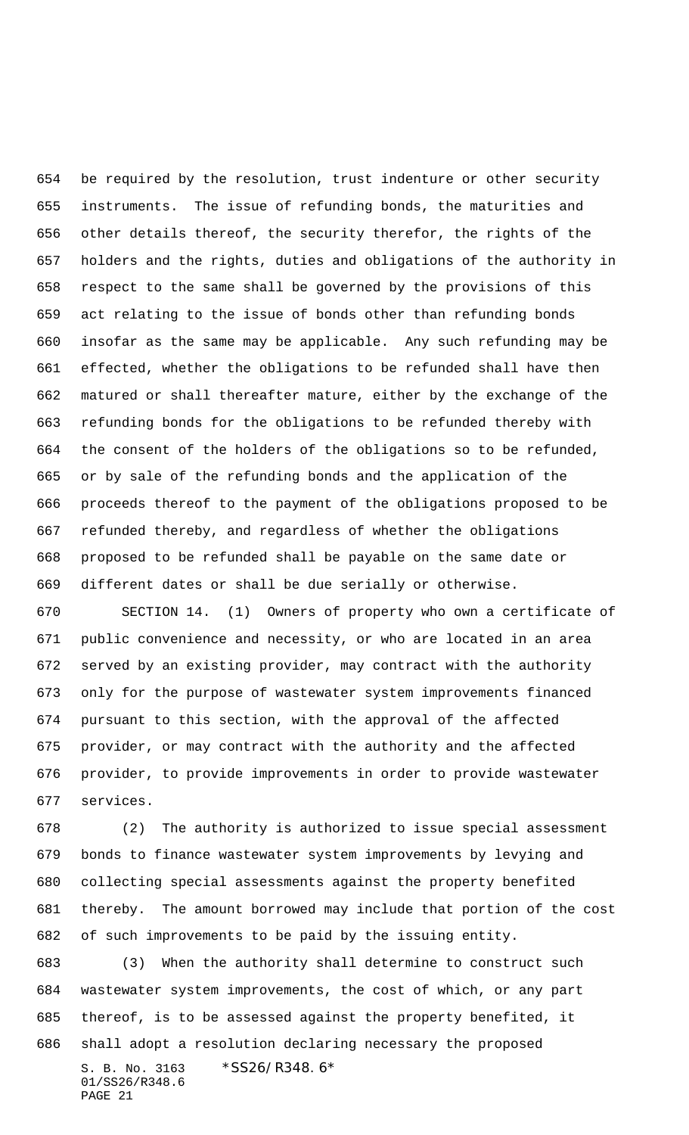be required by the resolution, trust indenture or other security instruments. The issue of refunding bonds, the maturities and other details thereof, the security therefor, the rights of the holders and the rights, duties and obligations of the authority in respect to the same shall be governed by the provisions of this act relating to the issue of bonds other than refunding bonds insofar as the same may be applicable. Any such refunding may be effected, whether the obligations to be refunded shall have then matured or shall thereafter mature, either by the exchange of the refunding bonds for the obligations to be refunded thereby with the consent of the holders of the obligations so to be refunded, or by sale of the refunding bonds and the application of the proceeds thereof to the payment of the obligations proposed to be refunded thereby, and regardless of whether the obligations proposed to be refunded shall be payable on the same date or different dates or shall be due serially or otherwise.

 SECTION 14. (1) Owners of property who own a certificate of public convenience and necessity, or who are located in an area served by an existing provider, may contract with the authority only for the purpose of wastewater system improvements financed pursuant to this section, with the approval of the affected provider, or may contract with the authority and the affected provider, to provide improvements in order to provide wastewater services.

 (2) The authority is authorized to issue special assessment bonds to finance wastewater system improvements by levying and collecting special assessments against the property benefited thereby. The amount borrowed may include that portion of the cost of such improvements to be paid by the issuing entity.

S. B. No. 3163 \*SS26/R348.6\* 01/SS26/R348.6 PAGE 21 (3) When the authority shall determine to construct such wastewater system improvements, the cost of which, or any part thereof, is to be assessed against the property benefited, it shall adopt a resolution declaring necessary the proposed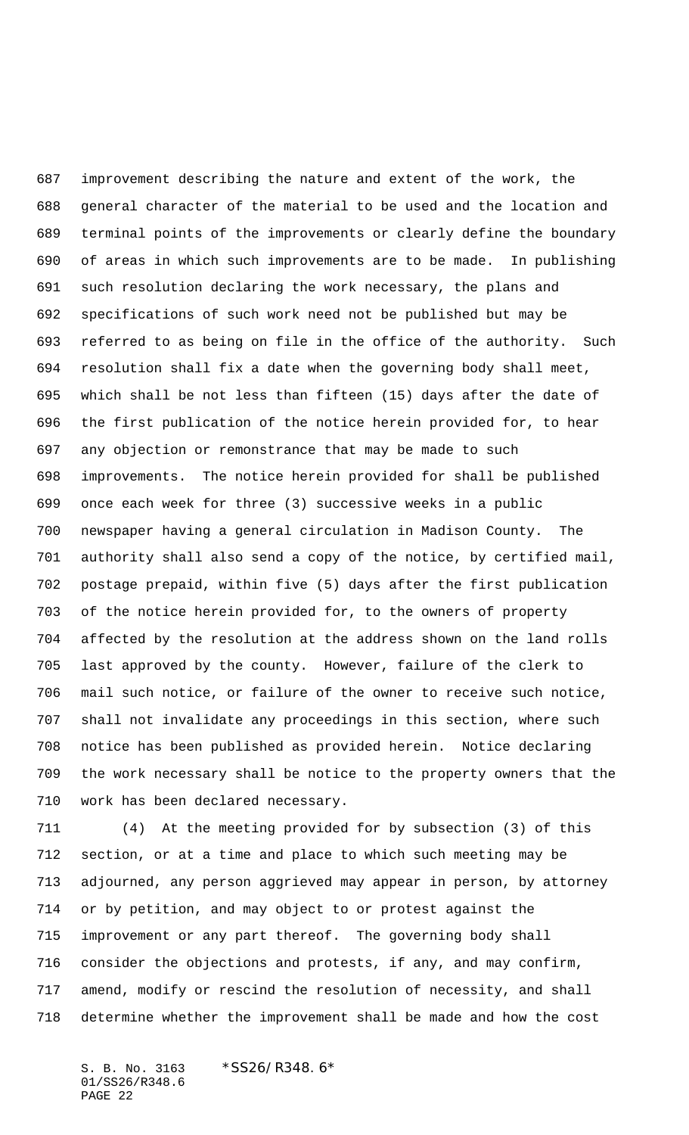improvement describing the nature and extent of the work, the general character of the material to be used and the location and terminal points of the improvements or clearly define the boundary of areas in which such improvements are to be made. In publishing such resolution declaring the work necessary, the plans and specifications of such work need not be published but may be referred to as being on file in the office of the authority. Such resolution shall fix a date when the governing body shall meet, which shall be not less than fifteen (15) days after the date of the first publication of the notice herein provided for, to hear any objection or remonstrance that may be made to such improvements. The notice herein provided for shall be published once each week for three (3) successive weeks in a public newspaper having a general circulation in Madison County. The authority shall also send a copy of the notice, by certified mail, postage prepaid, within five (5) days after the first publication of the notice herein provided for, to the owners of property affected by the resolution at the address shown on the land rolls last approved by the county. However, failure of the clerk to mail such notice, or failure of the owner to receive such notice, shall not invalidate any proceedings in this section, where such notice has been published as provided herein. Notice declaring the work necessary shall be notice to the property owners that the work has been declared necessary.

 (4) At the meeting provided for by subsection (3) of this section, or at a time and place to which such meeting may be adjourned, any person aggrieved may appear in person, by attorney or by petition, and may object to or protest against the improvement or any part thereof. The governing body shall consider the objections and protests, if any, and may confirm, amend, modify or rescind the resolution of necessity, and shall determine whether the improvement shall be made and how the cost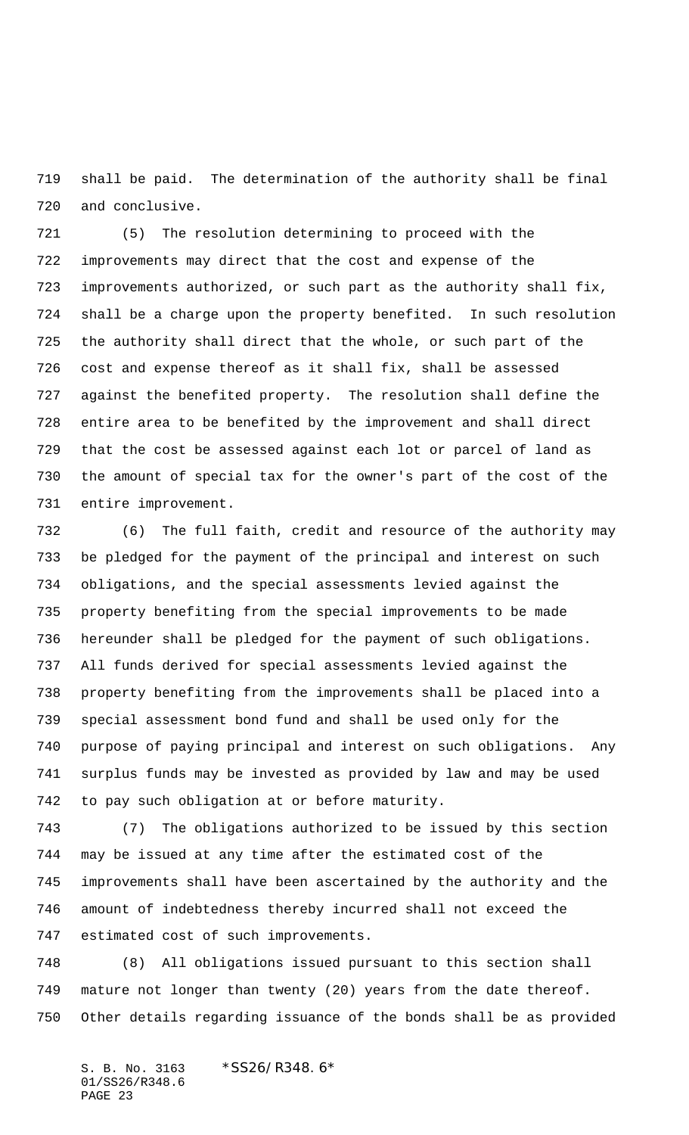shall be paid. The determination of the authority shall be final and conclusive.

 (5) The resolution determining to proceed with the improvements may direct that the cost and expense of the improvements authorized, or such part as the authority shall fix, shall be a charge upon the property benefited. In such resolution the authority shall direct that the whole, or such part of the cost and expense thereof as it shall fix, shall be assessed against the benefited property. The resolution shall define the entire area to be benefited by the improvement and shall direct that the cost be assessed against each lot or parcel of land as the amount of special tax for the owner's part of the cost of the entire improvement.

 (6) The full faith, credit and resource of the authority may be pledged for the payment of the principal and interest on such obligations, and the special assessments levied against the property benefiting from the special improvements to be made hereunder shall be pledged for the payment of such obligations. All funds derived for special assessments levied against the property benefiting from the improvements shall be placed into a special assessment bond fund and shall be used only for the purpose of paying principal and interest on such obligations. Any surplus funds may be invested as provided by law and may be used to pay such obligation at or before maturity.

 (7) The obligations authorized to be issued by this section may be issued at any time after the estimated cost of the improvements shall have been ascertained by the authority and the amount of indebtedness thereby incurred shall not exceed the estimated cost of such improvements.

 (8) All obligations issued pursuant to this section shall mature not longer than twenty (20) years from the date thereof. Other details regarding issuance of the bonds shall be as provided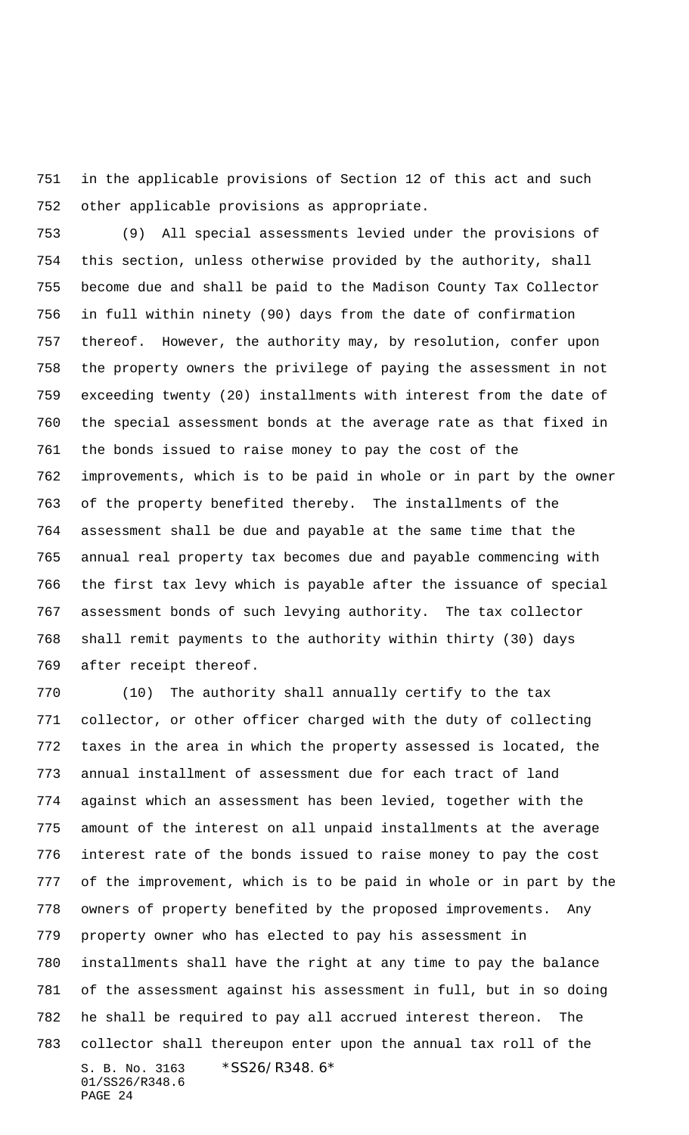in the applicable provisions of Section 12 of this act and such other applicable provisions as appropriate.

 (9) All special assessments levied under the provisions of this section, unless otherwise provided by the authority, shall become due and shall be paid to the Madison County Tax Collector in full within ninety (90) days from the date of confirmation thereof. However, the authority may, by resolution, confer upon the property owners the privilege of paying the assessment in not exceeding twenty (20) installments with interest from the date of the special assessment bonds at the average rate as that fixed in the bonds issued to raise money to pay the cost of the improvements, which is to be paid in whole or in part by the owner of the property benefited thereby. The installments of the assessment shall be due and payable at the same time that the annual real property tax becomes due and payable commencing with the first tax levy which is payable after the issuance of special assessment bonds of such levying authority. The tax collector shall remit payments to the authority within thirty (30) days after receipt thereof.

S. B. No. 3163 \*SS26/R348.6\* 01/SS26/R348.6 PAGE 24 (10) The authority shall annually certify to the tax collector, or other officer charged with the duty of collecting taxes in the area in which the property assessed is located, the annual installment of assessment due for each tract of land against which an assessment has been levied, together with the amount of the interest on all unpaid installments at the average interest rate of the bonds issued to raise money to pay the cost of the improvement, which is to be paid in whole or in part by the owners of property benefited by the proposed improvements. Any property owner who has elected to pay his assessment in installments shall have the right at any time to pay the balance of the assessment against his assessment in full, but in so doing he shall be required to pay all accrued interest thereon. The collector shall thereupon enter upon the annual tax roll of the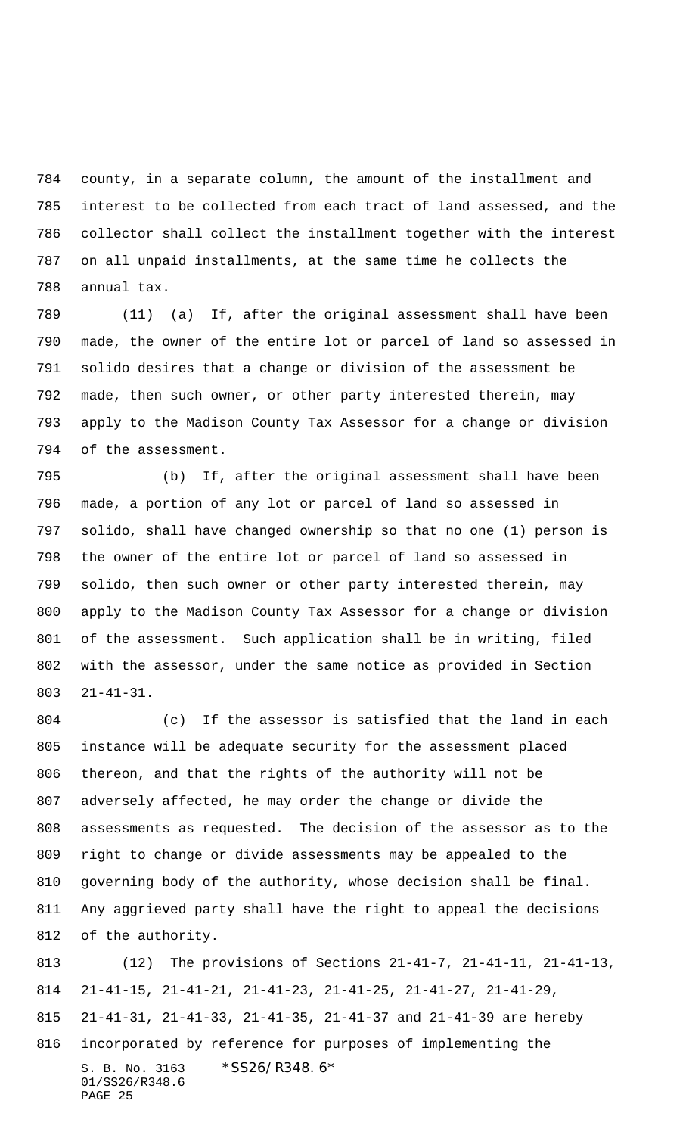county, in a separate column, the amount of the installment and interest to be collected from each tract of land assessed, and the collector shall collect the installment together with the interest on all unpaid installments, at the same time he collects the annual tax.

 (11) (a) If, after the original assessment shall have been made, the owner of the entire lot or parcel of land so assessed in solido desires that a change or division of the assessment be made, then such owner, or other party interested therein, may apply to the Madison County Tax Assessor for a change or division of the assessment.

 (b) If, after the original assessment shall have been made, a portion of any lot or parcel of land so assessed in solido, shall have changed ownership so that no one (1) person is the owner of the entire lot or parcel of land so assessed in solido, then such owner or other party interested therein, may apply to the Madison County Tax Assessor for a change or division of the assessment. Such application shall be in writing, filed with the assessor, under the same notice as provided in Section 21-41-31.

 (c) If the assessor is satisfied that the land in each instance will be adequate security for the assessment placed thereon, and that the rights of the authority will not be adversely affected, he may order the change or divide the assessments as requested. The decision of the assessor as to the right to change or divide assessments may be appealed to the governing body of the authority, whose decision shall be final. Any aggrieved party shall have the right to appeal the decisions of the authority.

S. B. No. 3163 \*SS26/R348.6\* 01/SS26/R348.6 PAGE 25 (12) The provisions of Sections 21-41-7, 21-41-11, 21-41-13, 21-41-15, 21-41-21, 21-41-23, 21-41-25, 21-41-27, 21-41-29, 21-41-31, 21-41-33, 21-41-35, 21-41-37 and 21-41-39 are hereby incorporated by reference for purposes of implementing the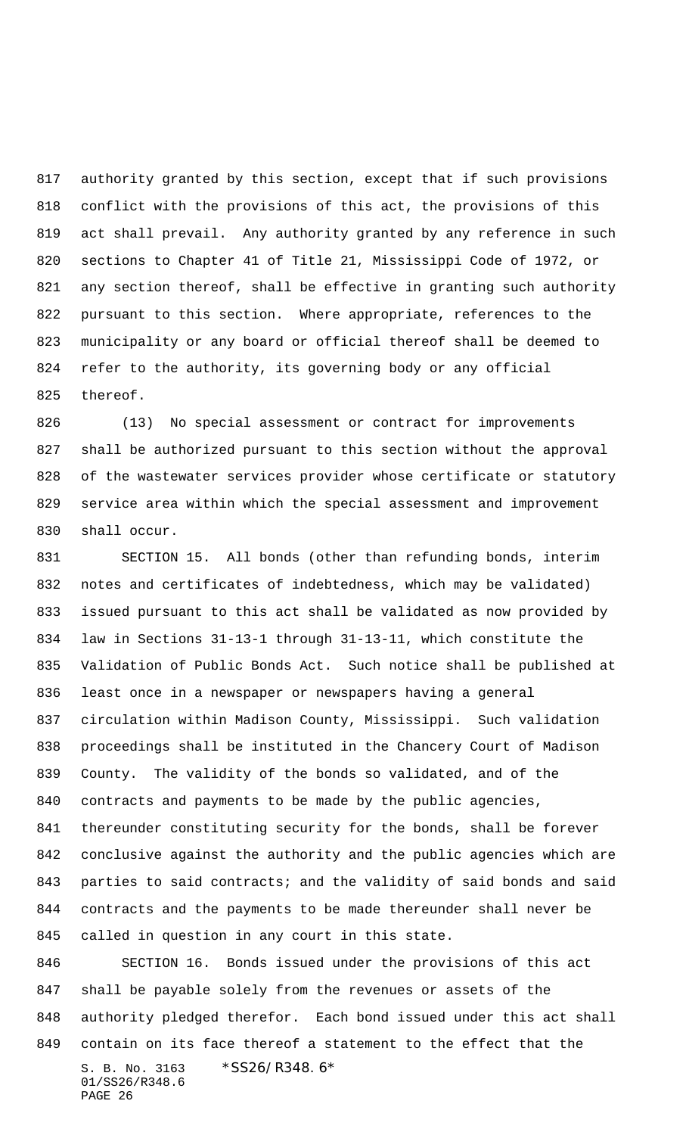authority granted by this section, except that if such provisions conflict with the provisions of this act, the provisions of this act shall prevail. Any authority granted by any reference in such sections to Chapter 41 of Title 21, Mississippi Code of 1972, or any section thereof, shall be effective in granting such authority pursuant to this section. Where appropriate, references to the municipality or any board or official thereof shall be deemed to refer to the authority, its governing body or any official thereof.

 (13) No special assessment or contract for improvements shall be authorized pursuant to this section without the approval of the wastewater services provider whose certificate or statutory service area within which the special assessment and improvement shall occur.

 SECTION 15. All bonds (other than refunding bonds, interim notes and certificates of indebtedness, which may be validated) issued pursuant to this act shall be validated as now provided by law in Sections 31-13-1 through 31-13-11, which constitute the Validation of Public Bonds Act. Such notice shall be published at least once in a newspaper or newspapers having a general circulation within Madison County, Mississippi. Such validation proceedings shall be instituted in the Chancery Court of Madison County. The validity of the bonds so validated, and of the contracts and payments to be made by the public agencies, thereunder constituting security for the bonds, shall be forever conclusive against the authority and the public agencies which are 843 parties to said contracts; and the validity of said bonds and said contracts and the payments to be made thereunder shall never be called in question in any court in this state.

S. B. No. 3163 \*SS26/R348.6\* 01/SS26/R348.6 PAGE 26 SECTION 16. Bonds issued under the provisions of this act shall be payable solely from the revenues or assets of the authority pledged therefor. Each bond issued under this act shall contain on its face thereof a statement to the effect that the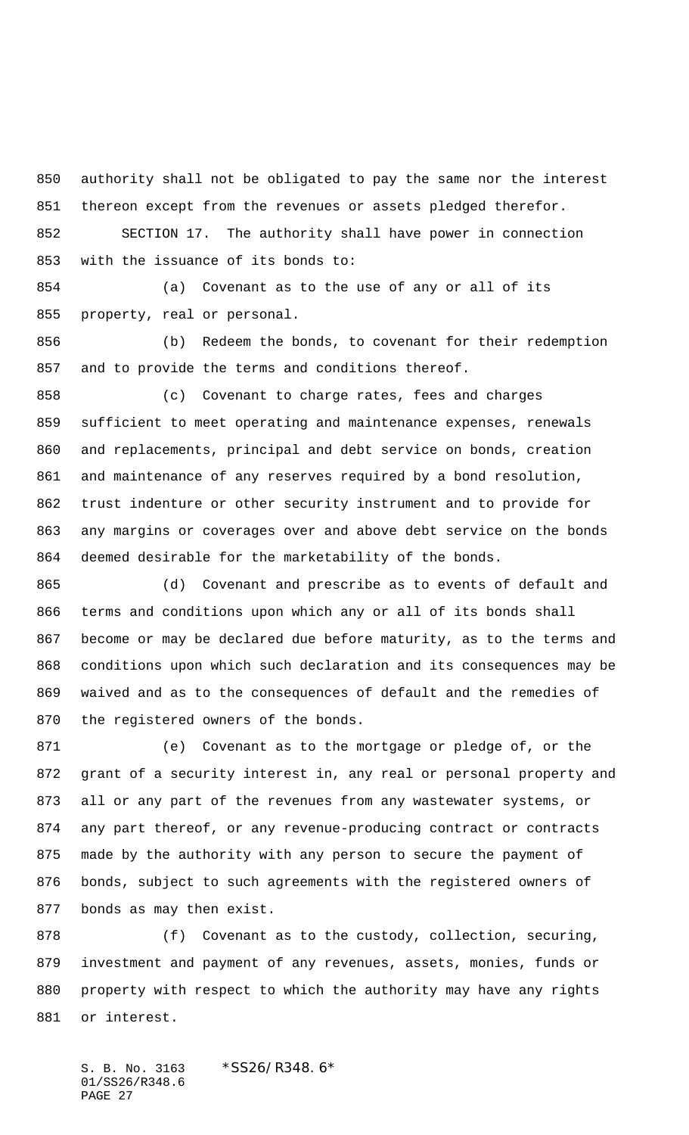authority shall not be obligated to pay the same nor the interest thereon except from the revenues or assets pledged therefor. SECTION 17. The authority shall have power in connection

with the issuance of its bonds to:

 (a) Covenant as to the use of any or all of its property, real or personal.

 (b) Redeem the bonds, to covenant for their redemption and to provide the terms and conditions thereof.

 (c) Covenant to charge rates, fees and charges sufficient to meet operating and maintenance expenses, renewals and replacements, principal and debt service on bonds, creation and maintenance of any reserves required by a bond resolution, trust indenture or other security instrument and to provide for any margins or coverages over and above debt service on the bonds deemed desirable for the marketability of the bonds.

 (d) Covenant and prescribe as to events of default and terms and conditions upon which any or all of its bonds shall become or may be declared due before maturity, as to the terms and conditions upon which such declaration and its consequences may be waived and as to the consequences of default and the remedies of the registered owners of the bonds.

 (e) Covenant as to the mortgage or pledge of, or the grant of a security interest in, any real or personal property and all or any part of the revenues from any wastewater systems, or any part thereof, or any revenue-producing contract or contracts made by the authority with any person to secure the payment of bonds, subject to such agreements with the registered owners of bonds as may then exist.

 (f) Covenant as to the custody, collection, securing, investment and payment of any revenues, assets, monies, funds or property with respect to which the authority may have any rights or interest.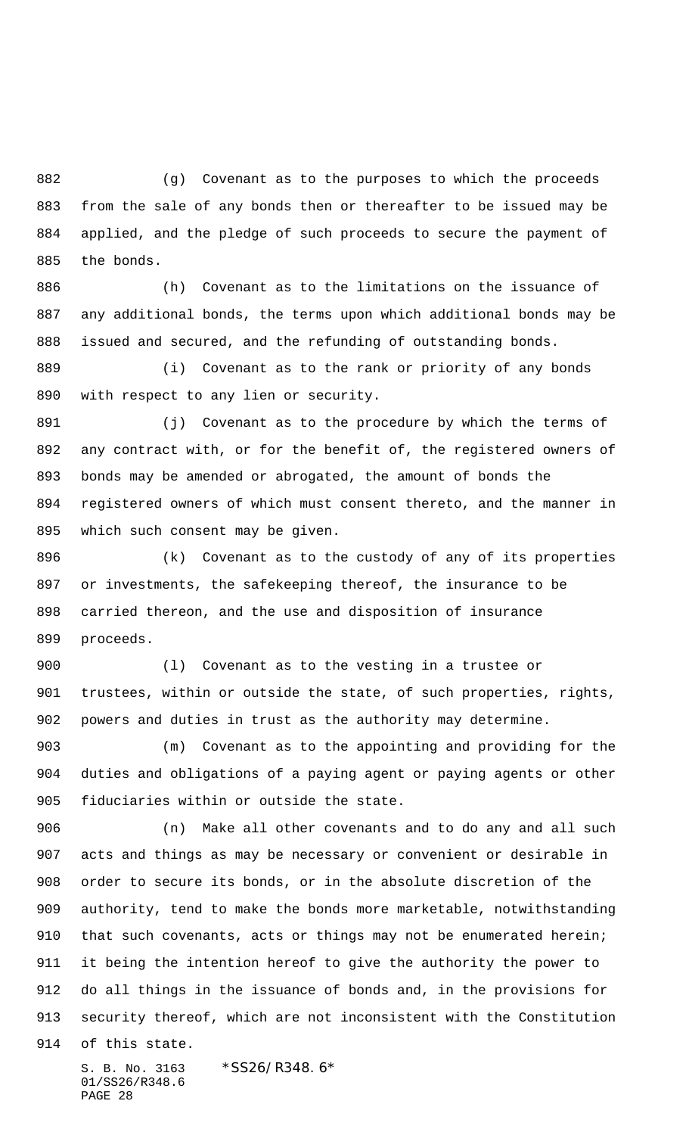(g) Covenant as to the purposes to which the proceeds from the sale of any bonds then or thereafter to be issued may be applied, and the pledge of such proceeds to secure the payment of the bonds.

 (h) Covenant as to the limitations on the issuance of any additional bonds, the terms upon which additional bonds may be issued and secured, and the refunding of outstanding bonds.

 (i) Covenant as to the rank or priority of any bonds with respect to any lien or security.

891 (j) Covenant as to the procedure by which the terms of any contract with, or for the benefit of, the registered owners of bonds may be amended or abrogated, the amount of bonds the registered owners of which must consent thereto, and the manner in which such consent may be given.

 (k) Covenant as to the custody of any of its properties or investments, the safekeeping thereof, the insurance to be carried thereon, and the use and disposition of insurance proceeds.

 (l) Covenant as to the vesting in a trustee or trustees, within or outside the state, of such properties, rights, powers and duties in trust as the authority may determine.

 (m) Covenant as to the appointing and providing for the duties and obligations of a paying agent or paying agents or other fiduciaries within or outside the state.

 (n) Make all other covenants and to do any and all such acts and things as may be necessary or convenient or desirable in order to secure its bonds, or in the absolute discretion of the authority, tend to make the bonds more marketable, notwithstanding 910 that such covenants, acts or things may not be enumerated herein; it being the intention hereof to give the authority the power to do all things in the issuance of bonds and, in the provisions for security thereof, which are not inconsistent with the Constitution

of this state.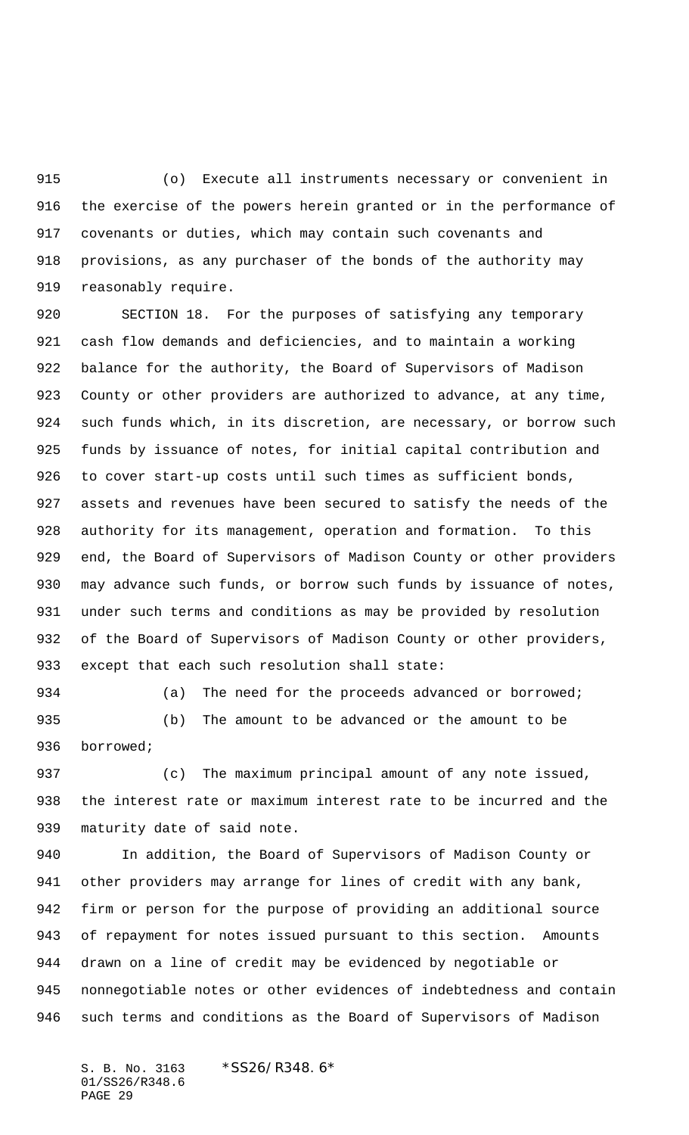(o) Execute all instruments necessary or convenient in the exercise of the powers herein granted or in the performance of covenants or duties, which may contain such covenants and provisions, as any purchaser of the bonds of the authority may reasonably require.

 SECTION 18. For the purposes of satisfying any temporary cash flow demands and deficiencies, and to maintain a working balance for the authority, the Board of Supervisors of Madison County or other providers are authorized to advance, at any time, such funds which, in its discretion, are necessary, or borrow such funds by issuance of notes, for initial capital contribution and to cover start-up costs until such times as sufficient bonds, assets and revenues have been secured to satisfy the needs of the authority for its management, operation and formation. To this end, the Board of Supervisors of Madison County or other providers may advance such funds, or borrow such funds by issuance of notes, under such terms and conditions as may be provided by resolution of the Board of Supervisors of Madison County or other providers, except that each such resolution shall state:

934 (a) The need for the proceeds advanced or borrowed; (b) The amount to be advanced or the amount to be

borrowed;

937 (c) The maximum principal amount of any note issued, the interest rate or maximum interest rate to be incurred and the maturity date of said note.

 In addition, the Board of Supervisors of Madison County or other providers may arrange for lines of credit with any bank, firm or person for the purpose of providing an additional source of repayment for notes issued pursuant to this section. Amounts drawn on a line of credit may be evidenced by negotiable or nonnegotiable notes or other evidences of indebtedness and contain such terms and conditions as the Board of Supervisors of Madison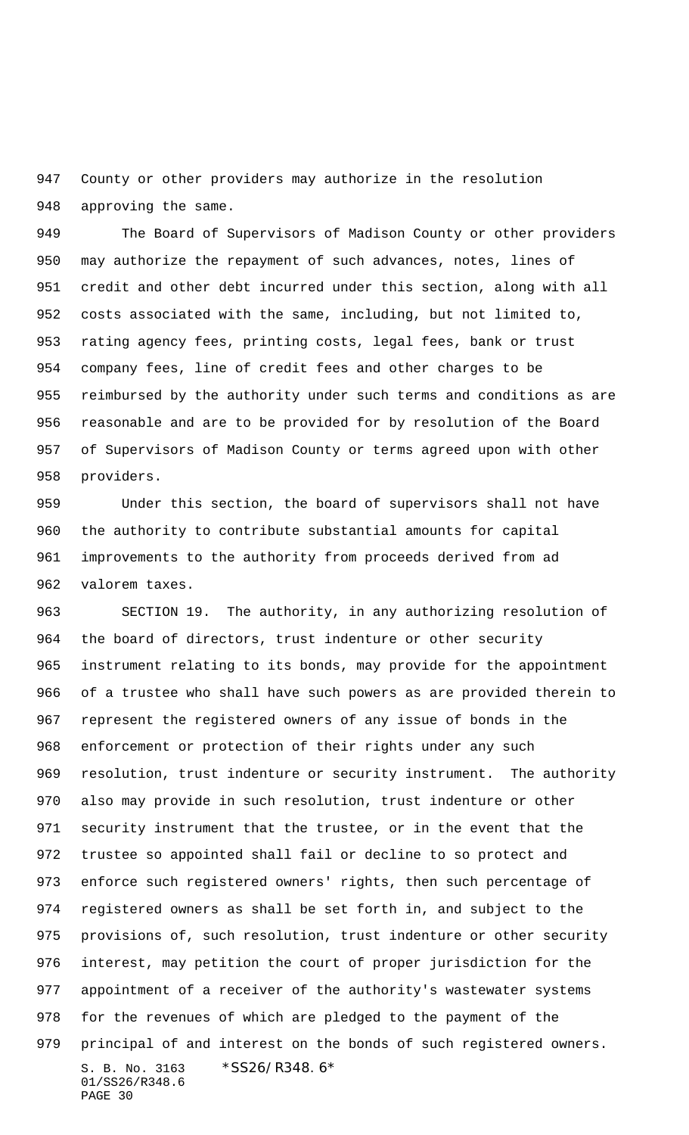County or other providers may authorize in the resolution approving the same.

 The Board of Supervisors of Madison County or other providers may authorize the repayment of such advances, notes, lines of credit and other debt incurred under this section, along with all costs associated with the same, including, but not limited to, rating agency fees, printing costs, legal fees, bank or trust company fees, line of credit fees and other charges to be reimbursed by the authority under such terms and conditions as are reasonable and are to be provided for by resolution of the Board of Supervisors of Madison County or terms agreed upon with other providers.

 Under this section, the board of supervisors shall not have the authority to contribute substantial amounts for capital improvements to the authority from proceeds derived from ad valorem taxes.

S. B. No. 3163 \*SS26/R348.6\* 01/SS26/R348.6 PAGE 30 SECTION 19. The authority, in any authorizing resolution of the board of directors, trust indenture or other security instrument relating to its bonds, may provide for the appointment of a trustee who shall have such powers as are provided therein to represent the registered owners of any issue of bonds in the enforcement or protection of their rights under any such resolution, trust indenture or security instrument. The authority also may provide in such resolution, trust indenture or other security instrument that the trustee, or in the event that the trustee so appointed shall fail or decline to so protect and enforce such registered owners' rights, then such percentage of registered owners as shall be set forth in, and subject to the provisions of, such resolution, trust indenture or other security interest, may petition the court of proper jurisdiction for the appointment of a receiver of the authority's wastewater systems for the revenues of which are pledged to the payment of the principal of and interest on the bonds of such registered owners.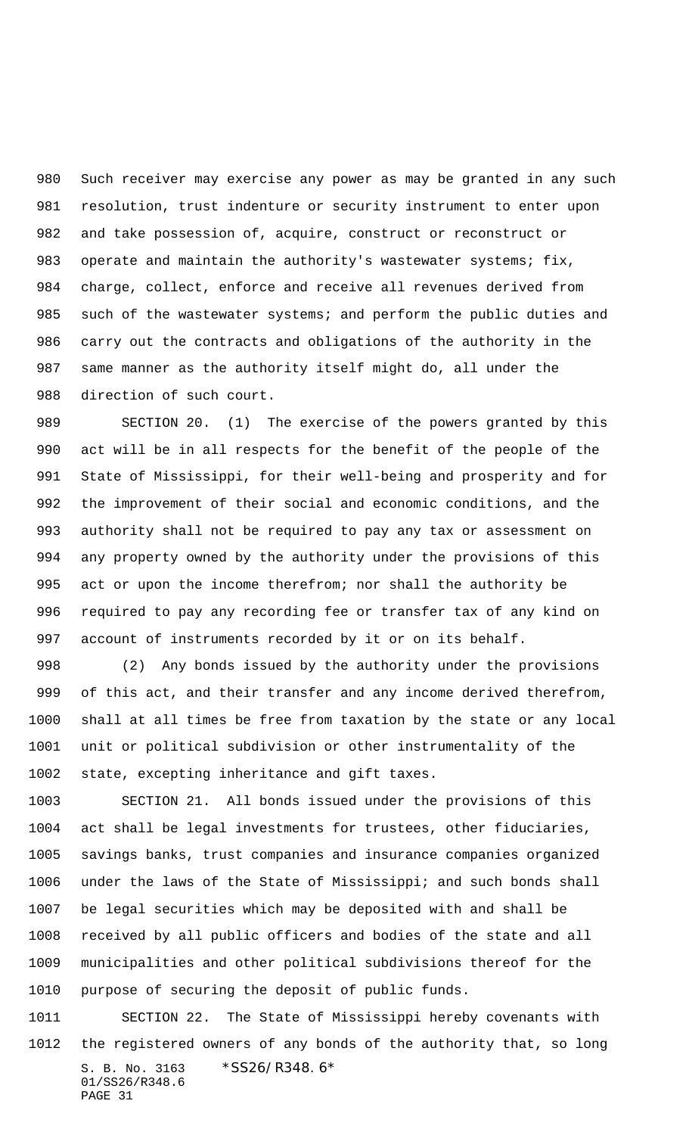Such receiver may exercise any power as may be granted in any such resolution, trust indenture or security instrument to enter upon and take possession of, acquire, construct or reconstruct or operate and maintain the authority's wastewater systems; fix, charge, collect, enforce and receive all revenues derived from 985 such of the wastewater systems; and perform the public duties and carry out the contracts and obligations of the authority in the same manner as the authority itself might do, all under the direction of such court.

 SECTION 20. (1) The exercise of the powers granted by this act will be in all respects for the benefit of the people of the State of Mississippi, for their well-being and prosperity and for the improvement of their social and economic conditions, and the authority shall not be required to pay any tax or assessment on any property owned by the authority under the provisions of this act or upon the income therefrom; nor shall the authority be required to pay any recording fee or transfer tax of any kind on account of instruments recorded by it or on its behalf.

 (2) Any bonds issued by the authority under the provisions of this act, and their transfer and any income derived therefrom, shall at all times be free from taxation by the state or any local unit or political subdivision or other instrumentality of the state, excepting inheritance and gift taxes.

 SECTION 21. All bonds issued under the provisions of this act shall be legal investments for trustees, other fiduciaries, savings banks, trust companies and insurance companies organized under the laws of the State of Mississippi; and such bonds shall be legal securities which may be deposited with and shall be received by all public officers and bodies of the state and all municipalities and other political subdivisions thereof for the purpose of securing the deposit of public funds.

S. B. No. 3163 \*SS26/R348.6\* 01/SS26/R348.6 PAGE 31 SECTION 22. The State of Mississippi hereby covenants with the registered owners of any bonds of the authority that, so long